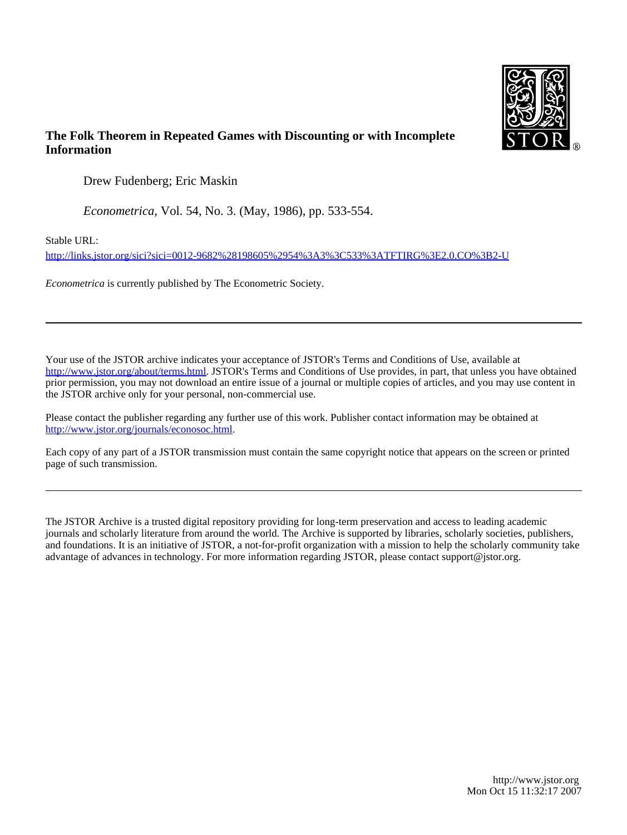

## **The Folk Theorem in Repeated Games with Discounting or with Incomplete Information**

Drew Fudenberg; Eric Maskin

*Econometrica*, Vol. 54, No. 3. (May, 1986), pp. 533-554.

Stable URL:

<http://links.jstor.org/sici?sici=0012-9682%28198605%2954%3A3%3C533%3ATFTIRG%3E2.0.CO%3B2-U>

*Econometrica* is currently published by The Econometric Society.

Your use of the JSTOR archive indicates your acceptance of JSTOR's Terms and Conditions of Use, available at [http://www.jstor.org/about/terms.html.](http://www.jstor.org/about/terms.html) JSTOR's Terms and Conditions of Use provides, in part, that unless you have obtained prior permission, you may not download an entire issue of a journal or multiple copies of articles, and you may use content in the JSTOR archive only for your personal, non-commercial use.

Please contact the publisher regarding any further use of this work. Publisher contact information may be obtained at [http://www.jstor.org/journals/econosoc.html.](http://www.jstor.org/journals/econosoc.html)

Each copy of any part of a JSTOR transmission must contain the same copyright notice that appears on the screen or printed page of such transmission.

The JSTOR Archive is a trusted digital repository providing for long-term preservation and access to leading academic journals and scholarly literature from around the world. The Archive is supported by libraries, scholarly societies, publishers, and foundations. It is an initiative of JSTOR, a not-for-profit organization with a mission to help the scholarly community take advantage of advances in technology. For more information regarding JSTOR, please contact support@jstor.org.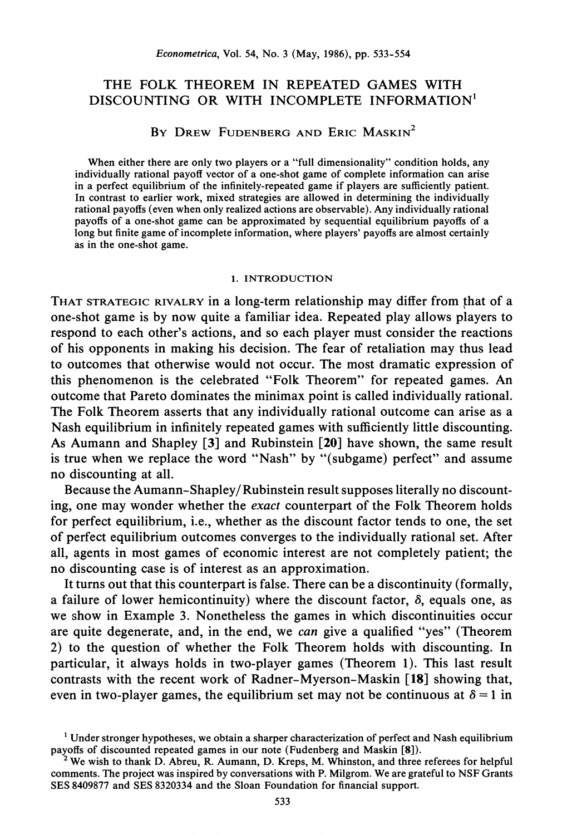## THE FOLK THEOREM IN REPEATED GAMES WITH DISCOUNTING OR WITH INCOMPLETE INFORMATION'

## BY DREW FUDENBERG AND ERIC MASKIN<sup>2</sup>

When either there are only two players or a "full dimensionality" condition holds, any individually rational payoff vector of a one-shot game of complete informaiion can arise in a perfect equilibrium of the infinitely-repeated game if players are sufficiently patient. In contrast to earlier work, mixed strategies are allowed in determining the individually rational payoffs (even when only realized actions are observable). Any individually rational payoffs of a one-shot game can be approximated by sequential equilibrium payoffs of a long but finite game of incomplete information, where players' payoffs are almost certainly as in the one-shot game.

#### 1. INTRODUCTION

THAT STRATEGIC RIVALRY in a long-term relationship may differ from that of a one-shot game is by now quite a familiar idea. Repeated play allows players to respond to each other's actions, and so each player must consider the reactions of his opponents in making his decision. The fear of retaliation may thus lead to outcomes that otherwise would not occur. The most dramatic expression of this phenomenon is the celebrated "Folk Theorem" for repeated games. An outcome that Pareto dominates the minimax point is called individually rational. The Folk Theorem asserts that any individually rational outcome can arise as a Nash equilibrium in infinitely repeated games with sufficiently little discounting. As Aumann and Shapley **[3]** and Rubinstein **[20]** have shown, the same result is true when we replace the word "Nash" by "(subgame) perfect" and assume no discounting at all.

Because the **Aumann-Shapley/Rubinstein**result supposes literally no discounting, one may wonder whether the *exact* counterpart of the Folk Theorem holds for perfect equilibrium, i.e., whether as the discount factor tends to one, the set of perfect equilibrium outcomes converges to the individually rational set. After all, agents in most games of economic interest are not completely patient; the no discounting case is of interest as an approximation.

It turns out that this counterpart is false. There can be a discontinuity (formally, a failure of lower hemicontinuity) where the discount factor,  $\delta$ , equals one, as we show in Example **3.** Nonetheless the games in which discontinuities occur are quite degenerate, and, in the end, we *can* give a qualified "yes" (Theorem 2) to the question of whether the Folk Theorem holds with discounting. In particular, it always holds in two-player games (Theorem 1). This last result contrasts with the recent work of Radner-Myerson-Maskin **[18]** showing that, even in two-player games, the equilibrium set may not be continuous at  $\delta = 1$  in

 $<sup>1</sup>$  Under stronger hypotheses, we obtain a sharper characterization of perfect and Nash equilibrium</sup> payoffs of discounted repeated games in our note (Fudenberg and Maskin **[8]).** 

<sup>&</sup>lt;sup>2</sup> We wish to thank D. Abreu, R. Aumann, D. Kreps, M. Whinston, and three referees for helpful comments. The project was inspired by conversations with P. Milgrom. We are grateful to NSF Grants SES 8409877 and SES 8320334 and the Sloan Foundation for financial support.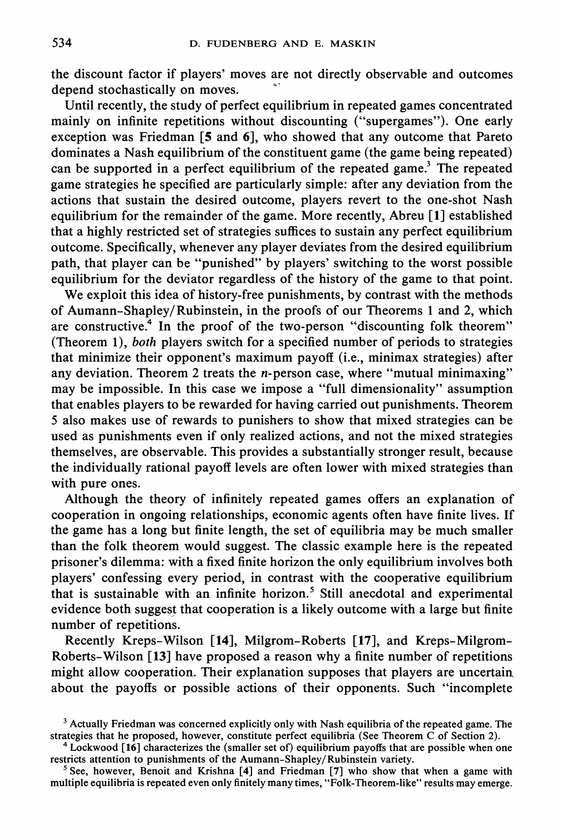the discount factor if players' moves are not directly observable and outcomes depend stochastically on moves.

Until recently, the study of perfect equilibrium in repeated games concentrated mainly on infinite repetitions without discounting ("supergames"). One early exception was Friedman **[5** and **61,** who showed that any outcome that Pareto dominates a Nash equilibrium of the constituent game (the game being repeated) can be supported in a perfect equilibrium of the repeated game.<sup>3</sup> The repeated game strategies he specified are particularly simple: after any deviation from the actions that sustain the desired outcome, players revert to the one-shot Nash equilibrium for the remainder of the game. More recently, Abreu [I] established that a highly restricted set of strategies suffices to sustain any perfect equilibrium outcome. Specifically, whenever any player deviates from the desired equilibrium path, that player can be "punished" by players' switching to the worst possible equilibrium for the deviator regardless of the history of the game to that point.

We exploit this idea of history-free punishments, by contrast with the methods of **Aumann-Shapley/Rubinstein,**in the proofs of our Theorems 1 and 2, which are constructive.<sup> $4$ </sup> In the proof of the two-person "discounting folk theorem" (Theorem **I),** *both* players switch for a specified number of periods to strategies that minimize their opponent's maximum payoff (i.e., minimax strategies) after any deviation. Theorem 2 treats the *n*-person case, where "mutual minimaxing" may be impossible. In this case we impose a "full dimensionality" assumption that enables players to be rewarded for having carried out punishments. Theorem 5 also makes use of rewards to punishers to show that mixed strategies can be used as punishments even if only realized actions, and not the mixed strategies themselves, are observable. This provides a substantially stronger result, because the individually rational payoff levels are often lower with mixed strategies than with pure ones.

Although the theory of infinitely repeated games offers an explanation of cooperation in ongoing relationships, economic agents often have finite lives. If the game has a long but finite length, the set of equilibria may be much smaller than the folk theorem would suggest. The classic example here is the repeated prisoner's dilemma: with a fixed finite horizon the only equilibrium involves both players' confessing every period, in contrast with the cooperative equilibrium that is sustainable with an infinite horizon.<sup>5</sup> Still anecdotal and experimental evidence both suggest that cooperation is a likely outcome with a large but finite number of repetitions.

Recently Kreps-Wilson [14], Milgrom-Roberts [17], and Kreps-Milgrom-Roberts-Wilson [13] have proposed a reason why a finite number of repetitions might allow cooperation. Their explanation supposes that players are uncertain about the payoffs or possible actions of their opponents. Such "incomplete

<sup>&</sup>lt;sup>3</sup> Actually Friedman was concerned explicitly only with Nash equilibria of the repeated game. The strategies that he proposed, however, constitute perfect equilibria (See Theorem C of Section 2).

Lockwood **[16]** characterizes the (smaller set of) equilibrium payoffs that are possible when one restricts attention to punishments of the **Aumann-Shapley/Rubinstein** variety.

<sup>&</sup>lt;sup>5</sup> See, however, Benoit and Krishna [4] and Friedman [7] who show that when a game with multiple equilibria is repeated even only finitely many times, "Folk-Theorem-like" results may emerge.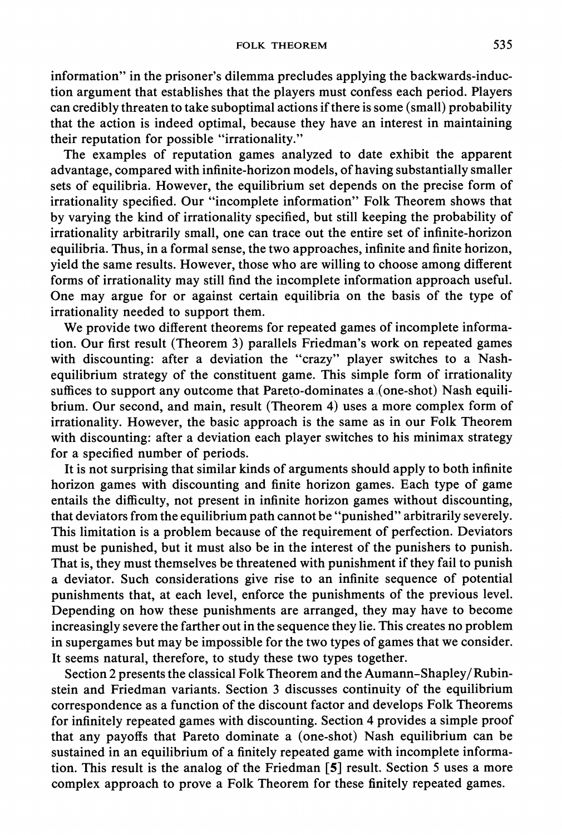information" in the prisoner's dilemma precludes applying the backwards-induction argument that establishes that the players must confess each period. Players can credibly threaten to take suboptimal actions if there is some (small) probability that the action is indeed optimal, because they have an interest in maintaining their reputation for possible "irrationality."

The examples of reputation games analyzed to date exhibit the apparent advantage, compared with infinite-horizon models, of having substantially smaller sets of equilibria. However, the equilibrium set depends on the precise form of irrationality specified. Our "incomplete information" Folk Theorem shows that by varying the kind of irrationality specified, but still keeping the probability of irrationality arbitrarily small, one can trace out the entire set of infinite-horizon equilibria. Thus, in a formal sense, the two approaches, infinite and finite horizon, yield the same results. However, those who are willing to choose among different forms of irrationality may still find the incomplete information approach useful. One may argue for or against certain equilibria on the basis of the type of irrationality needed to support them.

We provide two different theorems for repeated games of incomplete information. Our first result (Theorem **3)** parallels Friedman's work on repeated games with discounting: after a deviation the "crazy" player switches to a Nashequilibrium strategy of the constituent game. This simple form of irrationality suffices to support any outcome that Pareto-dominates a (one-shot) Nash equilibrium. Our second, and main, result (Theorem 4) uses a more complex form of irrationality. However, the basic approach is the same as in our Folk Theorem with discounting: after a deviation each player switches to his minimax strategy for a specified number of periods.

It is not surprising that similar kinds of arguments should apply to both infinite horizon games with discounting and finite horizon games. Each type of game entails the difficulty, not present in infinite horizon games without discounting, that deviators from the equilibrium path cannot be "punished" arbitrarily severely. This limitation is a problem because of the requirement of perfection. Deviators must be punished, but it must also be in the interest of the punishers to punish. That is, they must themselves be threatened with punishment if they fail to punish a deviator. Such considerations give rise to an infinite sequence of potential punishments that, at each level, enforce the punishments of the previous level. Depending on how these punishments are arranged, they may have to become increasingly severe the farther out in the sequence they lie. This creates no problem in supergames but may be impossible for the two types of games that we consider. It seems natural, therefore, to study these two types together.

Section 2 presents the classical Folk Theorem and the Aumann-Shapley/Rubinstein and Friedman variants. Section **3** discusses continuity of the equilibrium correspondence as a function of the discount factor and develops Folk Theorems for infinitely repeated games with discounting. Section 4 provides a simple proof that any payoffs that Pareto dominate a (one-shot) Nash equilibrium can be sustained in an equilibrium of a finitely repeated game with incomplete information. This result is the analog of the Friedman [5] result. Section **5** uses a more complex approach to prove a Folk Theorem for these finitely repeated games.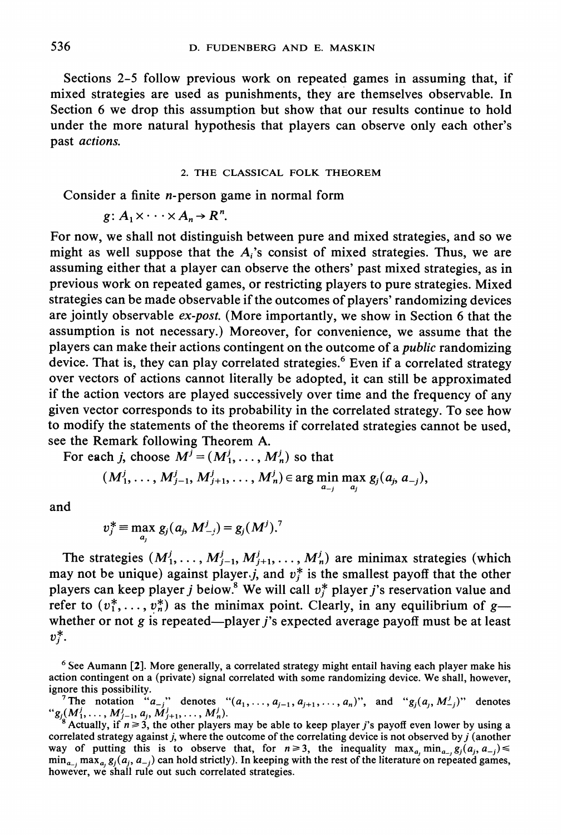Sections *2-5* follow previous work on repeated games in assuming that, if mixed strategies are used as punishments, they are themselves observable. In Section *6* we drop this assumption but show that our results continue to hold under the more natural hypothesis that players can observe only each other's past actions.

#### **2. THE CLASSICAL FOLK THEOREM**

Consider a finite n-person game in normal form

$$
g\colon A_1\times\cdots\times A_n\to R^n.
$$

For now, we shall not distinguish between pure and mixed strategies, and so we might as well suppose that the  $A_i$ 's consist of mixed strategies. Thus, we are assuming either that a player can observe the others' past mixed strategies, as in previous work on repeated games, or restricting players to pure strategies. Mixed strategies can be made observable if the outcomes of players' randomizing devices are jointly observable ex-post. (More importantly, we show in Section *6* that the assumption is not necessary.) Moreover, for convenience, we assume that the players can make their actions contingent on the outcome of a public randomizing device. That is, they can play correlated strategies.<sup>6</sup> Even if a correlated strategy over vectors of actions cannot literally be adopted, it can still be approximated if the action vectors are played successively over time and the frequency of any given vector corresponds to its probability in the correlated strategy. To see how to modify the statements of the theorems if correlated strategies cannot be used, see the Remark following Theorem **A.** 

For each j, choose  $M^{j} = (M_{1}^{j}, \ldots, M_{n}^{j})$  so that

$$
(M_1^j, \ldots, M_{j-1}^j, M_{j+1}^j, \ldots, M_n^j) \in \arg\min_{a_{-j}} \max_{a_j} g_j(a_j, a_{-j}),
$$

and

$$
v_j^* \equiv \max_{a_j} g_j(a_j, M_{-j}^j) = g_j(M^j).
$$

The strategies  $(M_1^j, \ldots, M_{j-1}^j, M_{j+1}^j, \ldots, M_n^j)$  are minimax strategies (which may not be unique) against player, j, and  $v_i^*$  is the smallest payoff that the other players can keep player j below.<sup>8</sup> We will call  $v_j^*$  player j's reservation value and refer to  $(v_1^*, \ldots, v_n^*)$  as the minimax point. Clearly, in any equilibrium of gwhether or not  $g$  is repeated—player *j*'s expected average payoff must be at least  $v_i^*$ .

*See Aumann* **[2].** *More generally, a correlated strategy might entail having each player make his action contingent on a (private) signal correlated with some randomizing device. We shall, however, ignore this possibility.* 

*he* notation " $a_{-j}$ " denotes " $(a_1, \ldots, a_{j-1}, a_{j+1}, \ldots, a_n)$ ", and " $g_j(a_j, M_{-j}^j)$ " denotes  $(g_{j}(M_1^j, \ldots, M_{j-1}^j, a_j, M_{j+1}^j, \ldots, M_n^j).$ 

Actually, if  $n \ge 3$ , the other players may be able to keep player j's payoff even lower by using a *correlated strategy against j, where the outcome of the correlating device is not observed by j (another*  way of putting this is to observe that, for  $n \ge 3$ , the inequality  $\max_{a_1} \min_{a_2, g_1}(a_1, a_1) \le$  $\min_{a_{-i}} \max_{a_i} g_j(a_i, a_{-i})$  can hold strictly). In keeping with the rest of the literature on repeated games, *however, we shall rule out such correlated strategies.*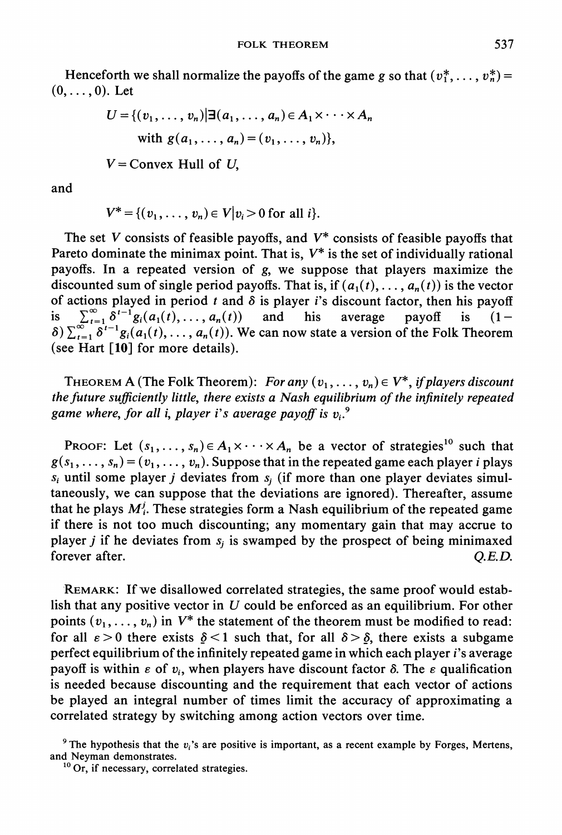Henceforth we shall normalize the payoffs of the game g so that  $(v_1^*, \ldots, v_n^*)$  =  $(0,\ldots,0)$ . Let

$$
U = \{(v_1, \dots, v_n) | \exists (a_1, \dots, a_n) \in A_1 \times \dots \times A_n
$$
  
with  $g(a_1, \dots, a_n) = (v_1, \dots, v_n) \},$   

$$
V = \text{Convex Hull of } U,
$$

and

$$
V^* = \{(v_1, \ldots, v_n) \in V | v_i > 0 \text{ for all } i\}.
$$

The set V consists of feasible payoffs, and  $V^*$  consists of feasible payoffs that Pareto dominate the minimax point. That is,  $V^*$  is the set of individually rational payoffs. In a repeated version of g, we suppose that players maximize the discounted sum of single period payoffs. That is, if  $(a_1(t), \ldots, a_n(t))$  is the vector of actions played in period t and  $\delta$  is player i's discount factor, then his payoff or actions played in period t and o is player t's discount factor, then his payoff<br>is  $\sum_{r=1}^{\infty} \delta^{r-1} g_i(a_1(t), \ldots, a_n(t))$  and his average payoff is  $(1 \delta) \sum_{t=1}^{\infty} \delta^{t-1} g_i(a_1(t), \ldots, a_n(t))$ . We can now state a version of the Folk Theorem (see Hart **[lo]** for more details).

**THEOREM** A (The Folk Theorem): For any  $(v_1, \ldots, v_n) \in V^*$ , if players discount the future sufficiently little, there exists a Nash equilibrium of the infinitely repeated game where, for all i, player i's average payoff is  $v_i$ .

PROOF: Let  $(s_1, \ldots, s_n) \in A_1 \times \cdots \times A_n$  be a vector of strategies<sup>10</sup> such that  $g(s_1, \ldots, s_n) = (v_1, \ldots, v_n)$ . Suppose that in the repeated game each player *i* plays  $s_i$  until some player j deviates from  $s_i$  (if more than one player deviates simultaneously, we can suppose that the deviations are ignored). Thereafter, assume that he plays  $M_i^j$ . These strategies form a Nash equilibrium of the repeated game if there is not too much discounting; any momentary gain that may accrue to player *j* if he deviates from  $s_j$  is swamped by the prospect of being minimaxed forever after.  $Q.E.D.$ forever after.

REMARK: If we disallowed correlated strategies, the same proof would establish that any positive vector in  $U$  could be enforced as an equilibrium. For other points  $(v_1, \ldots, v_n)$  in  $V^*$  the statement of the theorem must be modified to read: for all  $\epsilon > 0$  there exists  $\delta < 1$  such that, for all  $\delta > \delta$ , there exists a subgame perfect equilibrium of the infinitely repeated game in which each player i's average payoff is within  $\varepsilon$  of  $v_i$ , when players have discount factor  $\delta$ . The  $\varepsilon$  qualification is needed because discounting and the requirement that each vector of actions be played an integral number of times limit the accuracy of approximating a correlated strategy by switching among action vectors over time.

<sup>&</sup>lt;sup>9</sup> The hypothesis that the  $v_i$ 's are positive is important, as a recent example by Forges, Mertens, **and Neyman demonstrates.** 

<sup>&</sup>lt;sup>10</sup> Or, if necessary, correlated strategies.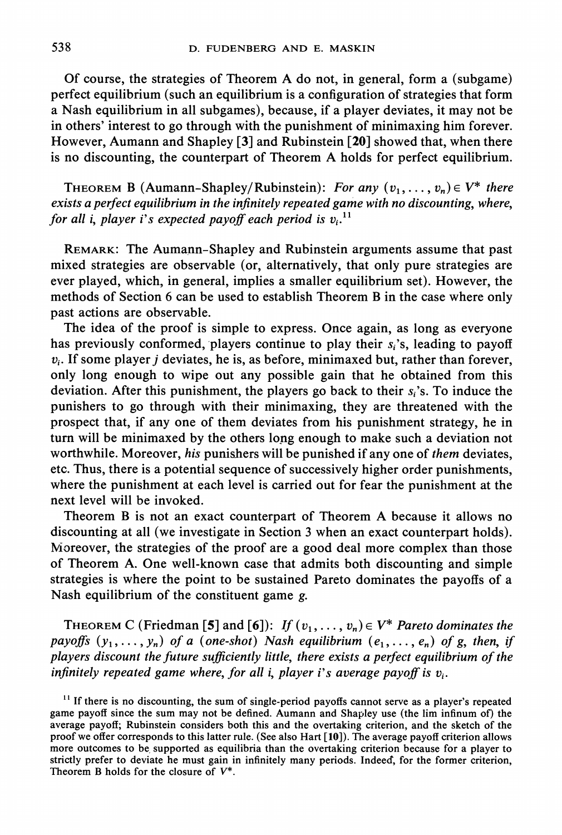Of course, the strategies of Theorem A do not, in general, form a (subgame) perfect equilibrium (such an equilibrium is a configuration of strategies that form a Nash equilibrium in all subgames), because, if a player deviates, it may not be in others' interest to go through with the punishment of minimaxing him forever. However, Aumann and Shapley [3] and Rubinstein [20] showed that, when there is no discounting, the counterpart of Theorem A holds for perfect equilibrium.

**THEOREM B** (Aumann-Shapley/Rubinstein): For any  $(v_1, \ldots, v_n) \in V^*$  there exists a perfect equilibrium in the infinitely repeated game with no discounting, where, for all i, player i's expected payoff each period is  $v_i$ .<sup>11</sup>

REMARK: The Aumann-Shapley and Rubinstein arguments assume that past mixed strategies are observable (or, alternatively, that only pure strategies are ever played, which, in general, implies a smaller equilibrium set). However, the methods of Section 6 can be used to establish Theorem B in the case where only past actions are observable.

The idea of the proof is simple to express. Once again, as long as everyone has previously conformed, players continue to play their  $s_i$ 's, leading to payoff  $v_i$ . If some player *j* deviates, he is, as before, minimaxed but, rather than forever, only long enough to wipe out any possible gain that he obtained from this deviation. After this punishment, the players go back to their  $s<sub>i</sub>$ 's. To induce the punishers to go through with their minimaxing, they are threatened with the prospect that, if any one of them deviates from his punishment strategy, he in turn will be minimaxed by the others long enough to make such a deviation not worthwhile. Moreover, his punishers will be punished if any one of them deviates, etc. Thus, there is a potential sequence of successively higher order punishments, where the punishment at each level is carried out for fear the punishment at the next level will be invoked.

Theorem B is not an exact counterpart of Theorem A because it allows no discounting at all (we investigate in Section 3 when an exact counterpart holds). Moreover, the strategies of the proof are a good deal more complex than those of Theorem A. One well-known case that admits both discounting and simple strategies is where the point to be sustained Pareto dominates the payoffs of a Nash equilibrium of the constituent game g.

THEOREM C (Friedman [5] and [6]): If  $(v_1, \ldots, v_n) \in V^*$  Pareto dominates the payoffs  $(y_1, \ldots, y_n)$  of a (one-shot) Nash equilibrium  $(e_1, \ldots, e_n)$  of g, then, if players discount the future suficiently little, there exists a perfect equilibrium of the infinitely repeated game where, for all i, player i's average payoff is  $v_i$ .

<sup>&</sup>lt;sup>11</sup> If there is no discounting, the sum of single-period payoffs cannot serve as a player's repeated game payoff since the sum may not be defined. Aumann and Shapley use (the lim infinum of) the average payoff; Rubinstein considers both this and the overtaking criterion, and the sketch of the proof we offer corresponds to this latter rule. (See also Hart **[lo]).**The average payoff criterion allows more outcomes to be supported as equilibria than the overtaking criterion because for a player to strictly prefer to deviate he must gain in infinitely many periods. Indeed, for the former criterion, Theorem B holds for the closure of  $V^*$ .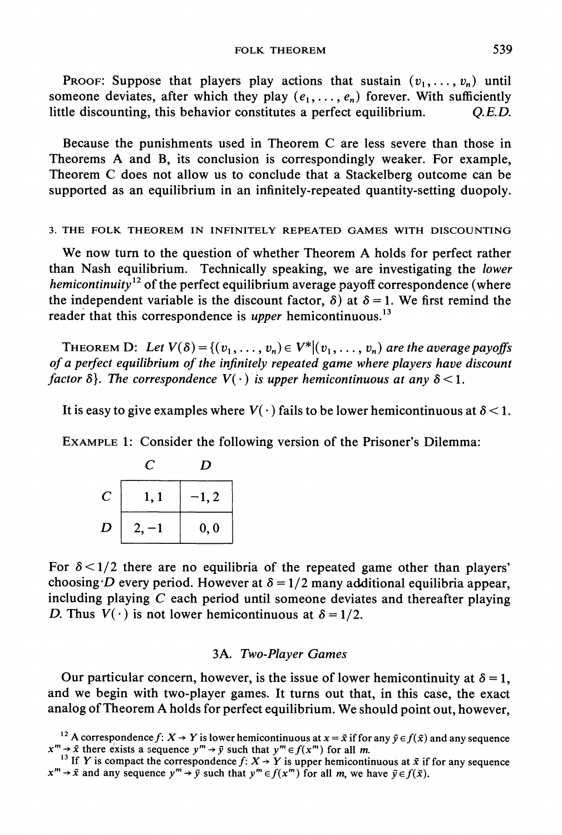PROOF: Suppose that players play actions that sustain  $(v_1, \ldots, v_n)$  until someone deviates, after which they play  $(e_1, \ldots, e_n)$  forever. With sufficiently little discounting, this behavior constitutes a perfect equilibrium. Q.E.D.

Because the punishments used in Theorem C are less severe than those in Theorems **A** and B, its conclusion is correspondingly weaker. For example, Theorem C does not allow us to conclude that a Stackelberg outcome can be supported as an equilibrium in an infinitely-repeated quantity-setting duopoly.

## **3.** THE FOLK THEOREM IN INFINITELY REPEATED GAMES WITH DISCOUNTING

We now turn to the question of whether Theorem **A** holds for perfect rather than Nash equilibrium. Technically speaking, we are investigating the lower hemicontinuity<sup>12</sup> of the perfect equilibrium average payoff correspondence (where the independent variable is the discount factor,  $\delta$ ) at  $\delta = 1$ . We first remind the reader that this correspondence is *upper* hemicontinuous.<sup>13</sup>

THEOREM D: Let  $V(\delta) = \{(v_1, \ldots, v_n) \in V^* | (v_1, \ldots, v_n) \text{ are the average payoffs} \}$ of a perfect equilibrium of the infinitely repeated game where players have discount factor  $\delta$ . The correspondence  $V(\cdot)$  is upper hemicontinuous at any  $\delta$  < 1.

It is easy to give examples where  $V(\cdot)$  fails to be lower hemicontinuous at  $\delta < 1$ .

EXAMPLE 1: Consider the following version of the Prisoner's Dilemma:

|   |                 | נו      |  |  |
|---|-----------------|---------|--|--|
| C | 1, 1            | $-1, 2$ |  |  |
| D | $2_{\rm \star}$ | 0,0     |  |  |

For  $\delta < 1/2$  there are no equilibria of the repeated game other than players' choosing D every period. However at  $\delta = 1/2$  many additional equilibria appear, including playing C each period until someone deviates and thereafter playing D. Thus  $V(\cdot)$  is not lower hemicontinuous at  $\delta = 1/2$ .

### **3A.** Two-Player Games

Our particular concern, however, is the issue of lower hemicontinuity at  $\delta = 1$ . and we begin with two-player games. It turns out that, in this case, the exact analog of Theorem **A** holds for perfect equilibrium. We should point out, however,

<sup>&</sup>lt;sup>12</sup> A correspondence *f*:  $X \rightarrow Y$  is lower hemicontinuous at  $x = \bar{x}$  if for any  $\bar{y} \in f(\bar{x})$  and any sequence  $x^m \rightarrow \bar{x}$  there exists a sequence  $y^m \rightarrow \bar{y}$  such that  $y^m \in f(x^m)$  for all *m*.

<sup>&</sup>lt;sup>13</sup> If Y is compact the correspondence  $f: X \rightarrow Y$  is upper hemicontinuous at  $\bar{x}$  if for any sequence  $x^m \rightarrow \bar{x}$  and any sequence  $y^m \rightarrow \bar{y}$  such that  $y^m \in f(x^m)$  for all m, we have  $\bar{y} \in f(\bar{x})$ .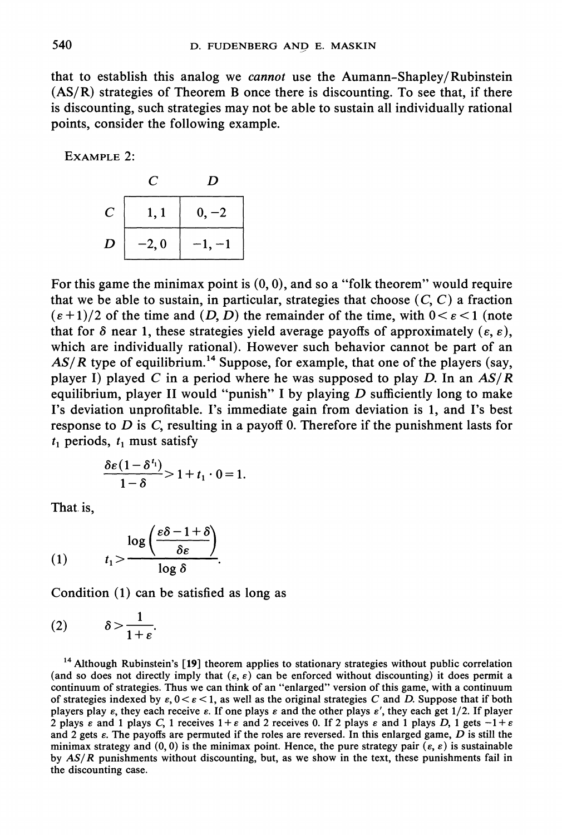that to establish this analog we cannot use the Aumann-Shapley/Rubinstein (AS/R) strategies of Theorem B once there is discounting. To see that, if there is discounting, such strategies may not be able to sustain all individually rational points, consider the following example.

EXAMPLE 2:

$$
C \n\nC\n\n1,1\n\n0,-2\n\n1,0,-2\n\n-1,-1
$$

For this game the minimax point is (0, O), and so a "folk theorem" would require that we be able to sustain, in particular, strategies that choose *(C,*C) a fraction  $(\varepsilon+1)/2$  of the time and  $(D, D)$  the remainder of the time, with  $0 < \varepsilon < 1$  (note that for  $\delta$  near 1, these strategies yield average payoffs of approximately  $(\epsilon, \epsilon)$ , which are individually rational). However such behavior cannot be part of an  $AS/R$  type of equilibrium.<sup>14</sup> Suppose, for example, that one of the players (say, player I) played C in a period where he was supposed to play D. In an  $AS/R$ equilibrium, player II would "punish" I by playing  $D$  sufficiently long to make 1's deviation unprofitable. 1's immediate gain from deviation is 1, and 1's best response to  $D$  is  $C$ , resulting in a payoff 0. Therefore if the punishment lasts for  $t_1$  periods,  $t_1$  must satisfy

$$
\frac{\delta \varepsilon (1-\delta^{t_1})}{1-\delta} > 1 + t_1 \cdot 0 = 1.
$$

That is,

(1) 
$$
t_1 > \frac{\log\left(\frac{\varepsilon\delta - 1 + \delta}{\delta\varepsilon}\right)}{\log \delta}.
$$

Condition (1) can be satisfied as long as

$$
(2) \qquad \delta > \frac{1}{1+\varepsilon}.
$$

**<sup>14</sup>**Although Rubinstein's **[19]** theorem applies to stationary strategies without public correlation (and so does not directly imply that  $(e, e)$  can be enforced without discounting) it does permit a continuum of strategies. Thus we can think of an "enlarged" version of this game, with a continuum of strategies indexed by  $\varepsilon$ ,  $0 < \varepsilon < 1$ , as well as the original strategies C and D. Suppose that if both players play  $\varepsilon$ , they each receive  $\varepsilon$ . If one plays  $\varepsilon$  and the other plays  $\varepsilon'$ , they each get 1/2. If player *2* plays  $\epsilon$  and *1* plays  $C$ , *1* receives  $1 + \epsilon$  and *2* receives 0. If *2* plays  $\epsilon$  and *1* plays *D*, *1* gets  $-1 + \epsilon$ and **2** gets **E.** The payoffs are permuted if the roles are reversed. In this enlarged game, D is still the minimax strategy and  $(0, 0)$  is the minimax point. Hence, the pure strategy pair  $(\varepsilon, \varepsilon)$  is sustainable by *ASIR* punishments without discounting, but, as we show in the text, these punishments fail in the discounting case.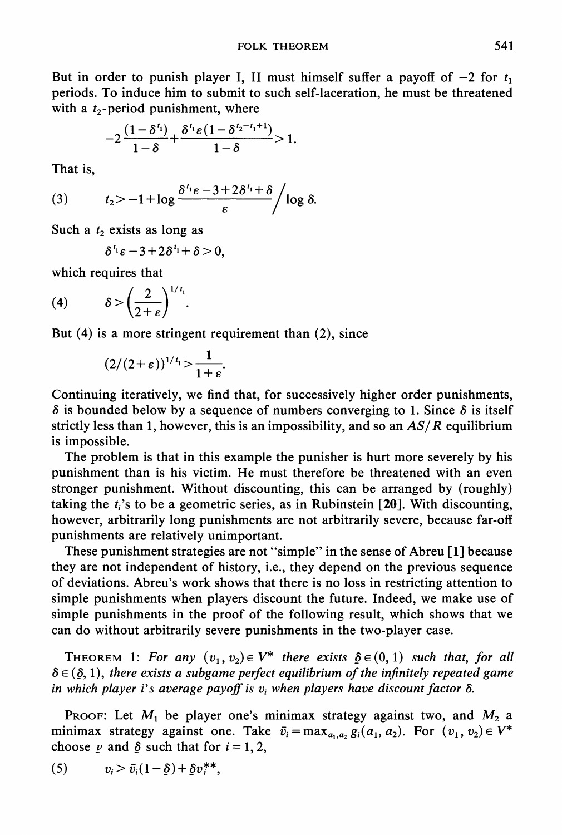But in order to punish player I, II must himself suffer a payoff of  $-2$  for  $t_1$ periods. To induce him to submit to such self-laceration, he must be threatened with a  $t_2$ -period punishment, where

$$
-2\frac{(1-\delta^{t_1})}{1-\delta}+\frac{\delta^{t_1}\varepsilon(1-\delta^{t_2-t_1+1})}{1-\delta}>1.
$$

That is,

(3) 
$$
t_2 > -1 + \log \frac{\delta^{t_1} \varepsilon - 3 + 2\delta^{t_1} + \delta}{\varepsilon} / \log \delta.
$$

Such a  $t_2$  exists as long as

$$
\delta^{t_1}\varepsilon-3+2\delta^{t_1}+\delta>0,
$$

which requires that

$$
(4) \qquad \delta > \left(\frac{2}{2+\epsilon}\right)^{1/t_1}.
$$

But (4) is a more stringent requirement than (2), since

$$
(2/(2+\varepsilon))^{1/t_1} > \frac{1}{1+\varepsilon}.
$$

Continuing iteratively, we find that, for successively higher order punishments,  $\delta$  is bounded below by a sequence of numbers converging to 1. Since  $\delta$  is itself strictly less than 1, however, this is an impossibility, and so an *AS/* R equilibrium is impossible.

The problem is that in this example the punisher is hurt more severely by his punishment than is his victim. He must therefore be threatened with an even stronger punishment. Without discounting, this can be arranged by (roughly) taking the  $t_i$ 's to be a geometric series, as in Rubinstein  $[20]$ . With discounting, however, arbitrarily long punishments are not arbitrarily severe, because far-off punishments are relatively unimportant.

These punishment strategies are not "simple" in the sense of Abreu **[I]** because they are not independent of history, i.e., they depend on the previous sequence of deviations. Abreu's work shows that there is no loss in restricting attention to simple punishments when players discount the future. Indeed, we make use of simple punishments in the proof of the following result, which shows that we can do without arbitrarily severe punishments in the two-player case.

THEOREM 1: For any  $(v_1, v_2) \in V^*$  there exists  $\delta \in (0,1)$  such that, for all  $\delta \in (\underline{\delta}, 1)$ , there exists a subgame perfect equilibrium of the infinitely repeated game in which player i's average payoff is  $v_i$  when players have discount factor  $\delta$ .

PROOF: Let  $M_1$  be player one's minimax strategy against two, and  $M_2$  a minimax strategy against one. Take  $\bar{v}_i = \max_{a_1, a_2} g_i(a_1, a_2)$ . For  $(v_1, v_2) \in V^*$ choose  $\nu$  and  $\delta$  such that for  $i = 1, 2,$ 

$$
(5) \t v_i > \bar{v}_i(1-\underline{\delta}) + \underline{\delta}v_i^{**},
$$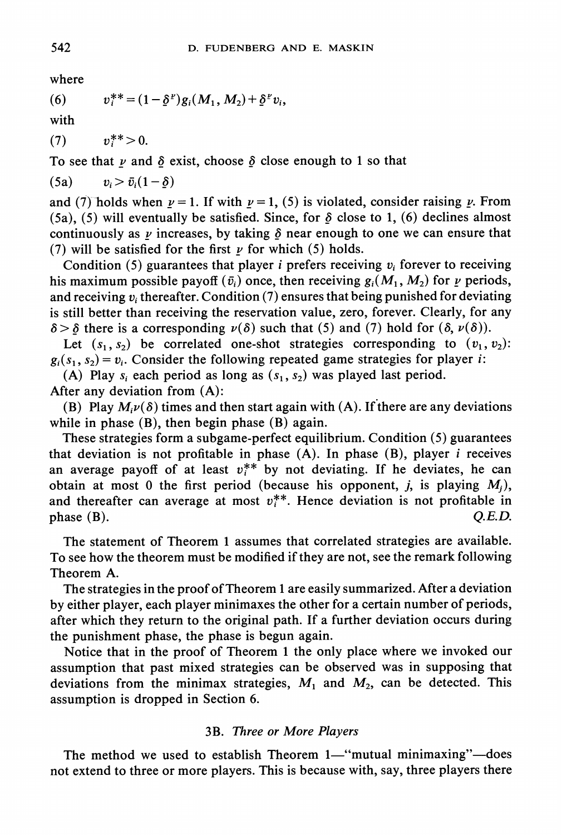where

(6) 
$$
v_i^{**} = (1 - \delta^{\nu})g_i(M_1, M_2) + \delta^{\nu}v_i,
$$

with

 $(v^{**}>0.$ 

To see that  $\nu$  and  $\delta$  exist, choose  $\delta$  close enough to 1 so that

$$
(5a) \t v_i > \bar{v}_i(1-\underline{\delta})
$$

and (7) holds when  $\nu = 1$ . If with  $\nu = 1$ , (5) is violated, consider raising  $\nu$ . From (5a), (5) will eventually be satisfied. Since, for  $\delta$  close to 1, (6) declines almost continuously as  $\nu$  increases, by taking  $\delta$  near enough to one we can ensure that (7) will be satisfied for the first  $\nu$  for which (5) holds.

Condition (5) guarantees that player *i* prefers receiving  $v_i$  forever to receiving his maximum possible payoff  $(\bar{v}_i)$  once, then receiving  $g_i(M_1, M_2)$  for  $\nu$  periods, and receiving  $v_i$  thereafter. Condition (7) ensures that being punished for deviating is still better than receiving the reservation value, zero, forever. Clearly, for any  $\delta > \delta$  there is a corresponding  $\nu(\delta)$  such that (5) and (7) hold for  $(\delta, \nu(\delta))$ .

Let  $(s_1, s_2)$  be correlated one-shot strategies corresponding to  $(v_1, v_2)$ :  $g_i(s_1, s_2) = v_i$ . Consider the following repeated game strategies for player *i*:

(A) Play  $s_i$  each period as long as  $(s_1, s_2)$  was played last period.

After any deviation from (A):

(B) Play  $M_i\nu(\delta)$  times and then start again with (A). If there are any deviations while in phase (B), then begin phase (B) again.

These strategies form a subgame-perfect equilibrium. Condition (5) guarantees that deviation is not profitable in phase (A). In phase (B), player i receives an average payoff of at least  $v_i^{**}$  by not deviating. If he deviates, he can obtain at most 0 the first period (because his opponent, *j*, is playing  $M_i$ ), and thereafter can average at most  $v_i^{**}$ . Hence deviation is not profitable in  $\mathbf{p}$ hase (B).  $Q.E.D.$ 

The statement of Theorem 1 assumes that correlated strategies are available. To see how the theorem must be modified if they are not, see the remark following Theorem A.

The strategies in the proof of Theorem 1 are easily summarized. After a deviation by either player, each player minimaxes the other for a certain number of periods, after which they return to the original path. If a further deviation occurs during the punishment phase, the phase is begun again.

Notice that in the proof of Theorem 1 the only place where we invoked our assumption that past mixed strategies can be observed was in supposing that deviations from the minimax strategies,  $M_1$  and  $M_2$ , can be detected. This assumption is dropped in Section 6.

### 3B. Three or More Players

The method we used to establish Theorem  $1$ —"mutual minimaxing"—does not extend to three or more players. This is because with, say, three players there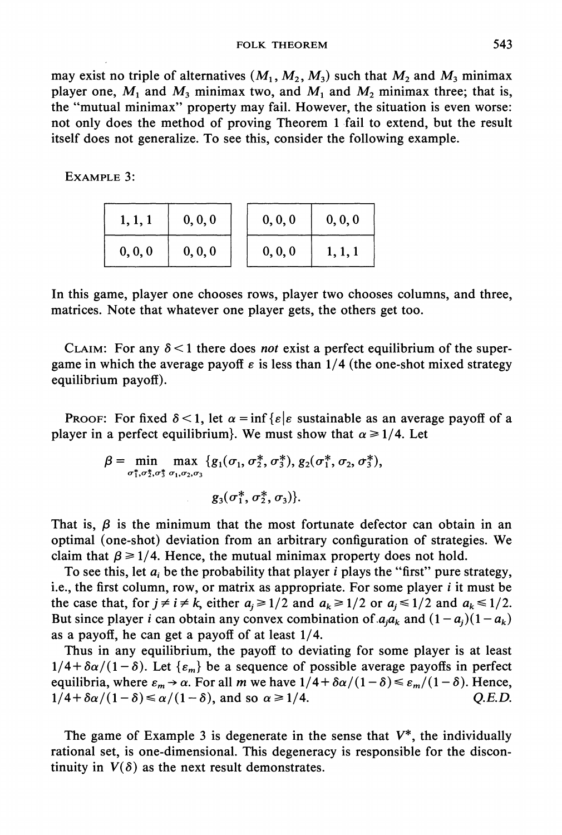may exist no triple of alternatives  $(M_1, M_2, M_3)$  such that  $M_2$  and  $M_3$  minimax player one,  $M_1$  and  $M_3$  minimax two, and  $M_1$  and  $M_2$  minimax three; that is, the "mutual minimax" property may fail. However, the situation is even worse: not only does the method of proving Theorem 1 fail to extend, but the result itself does not generalize. To see this, consider the following example.

EXAMPLE 3:

| 1, 1, 1 | 0, 0, 0 | 0, 0, 0 | 0, 0, 0 |
|---------|---------|---------|---------|
| 0, 0, 0 | 0, 0, 0 | 0, 0, 0 | 1, 1, 1 |

In this game, player one chooses rows, player two chooses columns, and three, matrices. Note that whatever one player gets, the others get too.

CLAIM: For any  $\delta < 1$  there does *not* exist a perfect equilibrium of the supergame in which the average payoff  $\varepsilon$  is less than 1/4 (the one-shot mixed strategy equilibrium payoff).

**PROOF:** For fixed  $\delta < 1$ , let  $\alpha = \inf \{ \epsilon | \epsilon \text{ such that } \epsilon \leq \epsilon \}$  as an average payoff of a player in a perfect equilibrium). We must show that  $\alpha \geq 1/4$ . Let

> $\beta = \min_{\sigma_1^*, \sigma_2^*, \sigma_3^*} \max_{\sigma_1, \sigma_2, \sigma_3} \{g_1(\sigma_1, \sigma_2^*, \sigma_3^*), g_2(\sigma_1^*, \sigma_2, \sigma_3^*),$  $g_3(\sigma_1^*, \sigma_2^*, \sigma_3).$

That is,  $\beta$  is the minimum that the most fortunate defector can obtain in an optimal (one-shot) deviation from an arbitrary configuration of strategies. We claim that  $\beta \geq 1/4$ . Hence, the mutual minimax property does not hold.

To see this, let  $a_i$  be the probability that player i plays the "first" pure strategy, i.e., the first column, row, or matrix as appropriate. For some player i it must be the case that, for  $j \neq i \neq k$ , either  $a_i \geq 1/2$  and  $a_k \geq 1/2$  or  $a_j \leq 1/2$  and  $a_k \leq 1/2$ . But since player *i* can obtain any convex combination of  $a_i a_k$  and  $(1 - a_i)(1 - a_k)$ as a payoff, he can get a payoff of at least  $1/4$ .

Thus in any equilibrium, the payoff to deviating for some player is at least  $1/4+\delta\alpha/(1-\delta)$ . Let  $\{\varepsilon_m\}$  be a sequence of possible average payoffs in perfect equilibria, where  $\varepsilon_m \to \alpha$ . For all m we have  $1/4 + \delta \alpha/(1 - \delta) \le \varepsilon_m/(1 - \delta)$ . Hence,  $1/4 + \delta \alpha/(1 - \delta) \le \alpha/(1 - \delta)$ , and so  $\alpha \ge 1/4$ . O.E.D.  $1/4+\delta\alpha/(1-\delta) \le \frac{\alpha}{(1-\delta)}$ , and so  $\alpha \ge 1/4$ .

The game of Example 3 is degenerate in the sense that  $V^*$ , the individually rational set, is one-dimensional. This degeneracy is responsible for the discontinuity in  $V(\delta)$  as the next result demonstrates.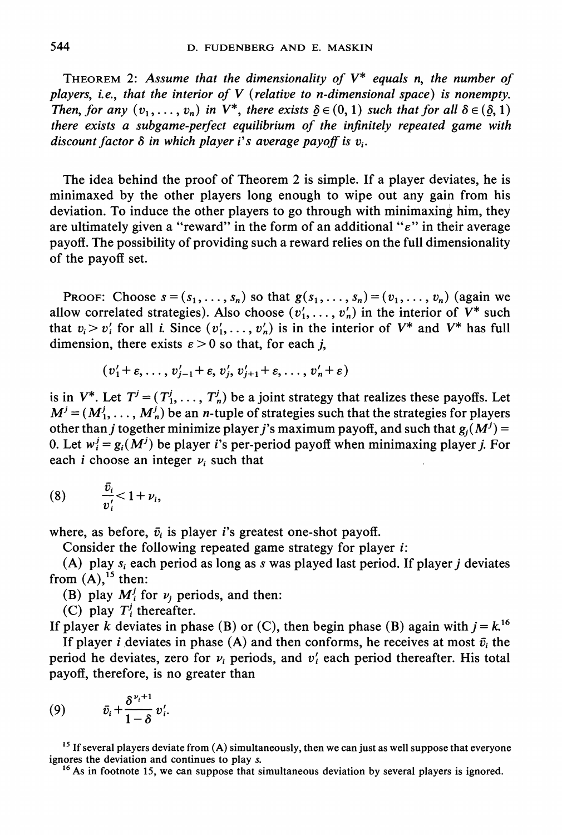THEOREM 2: Assume that the dimensionality of  $V^*$  equals n, the number of players, i.e., that the interior of  $V$  (relative to n-dimensional space) is nonempty. Then, for any  $(v_1, \ldots, v_n)$  in  $V^*$ , there exists  $\delta \in (0,1)$  such that for all  $\delta \in (\delta,1)$ there exists a subgame-perfect equilibrium of the infinitely repeated game with discount factor  $\delta$  in which player i's average payoff is  $v_i$ .

The idea behind the proof of Theorem 2 is simple. If a player deviates, he is minimaxed by the other players long enough to wipe out any gain from his deviation. To induce the other players to go through with minimaxing him, they are ultimately given a "reward" in the form of an additional " $\varepsilon$ " in their average payoff. The possibility of providing such a reward relies on the full dimensionality of the payoff set.

PROOF: Choose  $s = (s_1, \ldots, s_n)$  so that  $g(s_1, \ldots, s_n) = (v_1, \ldots, v_n)$  (again we allow correlated strategies). Also choose  $(v'_1, \ldots, v'_n)$  in the interior of  $V^*$  such that  $v_i > v'_i$  for all i. Since  $(v'_1, \ldots, v'_n)$  is in the interior of  $V^*$  and  $V^*$  has full dimension, there exists  $\varepsilon > 0$  so that, for each j,

$$
(v'_1+\varepsilon,\ldots,v'_{j-1}+\varepsilon,v'_j,v'_{j+1}+\varepsilon,\ldots,v'_n+\varepsilon)
$$

is in  $V^*$ . Let  $T^j = (T_1^j, \ldots, T_n^j)$  be a joint strategy that realizes these payoffs. Let  $M^{j} = (M_{1}^{j}, \ldots, M_{n}^{j})$  be an *n*-tuple of strategies such that the strategies for players other than *j* together minimize player *j*'s maximum payoff, and such that  $g_i(M^j)$  = 0. Let  $w_i^j = g_i(M^j)$  be player i's per-period payoff when minimaxing player j. For each *i* choose an integer  $\nu_i$  such that

$$
(8) \qquad \frac{\bar{v}_i}{v'_i} < 1 + \nu_i,
$$

where, as before,  $\bar{v}_i$  is player *i*'s greatest one-shot payoff.

Consider the following repeated game strategy for player i:

(A) play  $s_i$  each period as long as s was played last period. If player j deviates from  $(A)$ , <sup>15</sup> then:

(B) play  $M_i^j$  for  $\nu_i$  periods, and then:

(C) play  $T_i^j$  thereafter.

If player k deviates in phase (B) or (C), then begin phase (B) again with  $j = k^{16}$ 

If player *i* deviates in phase (A) and then conforms, he receives at most  $\bar{v}_i$  the period he deviates, zero for  $\nu_i$  periods, and  $\nu'_i$  each period thereafter. His total payoff, therefore, is no greater than

$$
(9) \t\t \bar{v}_i + \frac{\delta^{\nu_i+1}}{1-\delta} v'_i.
$$

<sup>15</sup> If several players deviate from (A) simultaneously, then we can just as well suppose that everyone ignores the deviation and continues to play **s.** 

<sup>16</sup> As in footnote 15, we can suppose that simultaneous deviation by several players is ignored.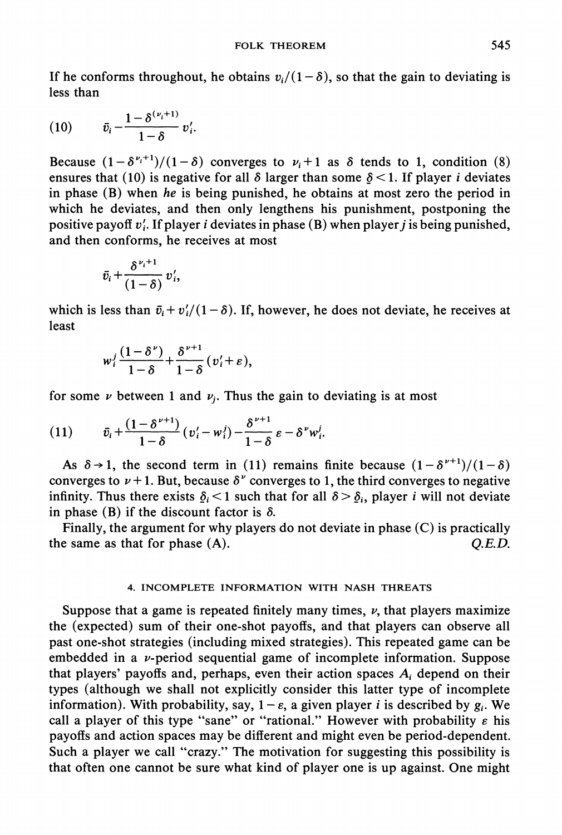If he conforms throughout, he obtains  $v_i/(1-\delta)$ , so that the gain to deviating is less than

$$
(10) \qquad \bar{v}_i - \frac{1 - \delta^{(\nu_i + 1)}}{1 - \delta} v'_i.
$$

Because  $(1 - \delta^{\nu_i+1})/(1 - \delta)$  converges to  $\nu_i + 1$  as  $\delta$  tends to 1, condition (8) ensures that (10) is negative for all  $\delta$  larger than some  $\delta$  < 1. If player *i* deviates in phase (B) when *he* is being punished, he obtains at most zero the period in which he deviates, and then only lengthens his punishment, postponing the positive payoff  $v_i'$ . If player *i* deviates in phase (B) when player *j* is being punished, and then conforms, he receives at most

$$
\bar{v}_i+\frac{\delta^{\nu_i+1}}{(1-\delta)}v_i',
$$

which is less than  $\bar{v}_i + v_i'/(1 - \delta)$ . If, however, he does not deviate, he receives at least

$$
w_i^j\frac{(1-\delta^\nu)}{1-\delta}+\frac{\delta^{\nu+1}}{1-\delta}(v_i'+\varepsilon),
$$

for some  $\nu$  between 1 and  $\nu_i$ . Thus the gain to deviating is at most

$$
(11) \qquad \bar{v}_i + \frac{(1-\delta^{\nu+1})}{1-\delta} \left(v_i' - w_i'\right) - \frac{\delta^{\nu+1}}{1-\delta} \varepsilon - \delta^{\nu} w_i'.
$$

As  $\delta \rightarrow 1$ , the second term in (11) remains finite because  $(1 - \delta^{\nu+1})/(1 - \delta)$ converges to  $\nu + 1$ . But, because  $\delta^{\nu}$  converges to 1, the third converges to negative infinity. Thus there exists  $\delta_i$  < 1 such that for all  $\delta > \delta_i$ , player *i* will not deviate in phase (B) if the discount factor is  $\delta$ .

Finally, the argument for why players do not deviate in phase *(C)*is practically the same as that for phase  $(A)$ .  $Q.E.D.$ 

#### **4. INCOMPLETE INFORMATION WITH NASH THREATS**

Suppose that a game is repeated finitely many times,  $\nu$ , that players maximize the (expected) sum of their one-shot payoffs, and that players can observe all past one-shot strategies (including mixed strategies). This repeated game can be embedded in a v-period sequential game of incomplete information. Suppose that players' payoffs and, perhaps, even their action spaces  $A_i$ , depend on their types (although we shall not explicitly consider this latter type of incomplete information). With probability, say,  $1 - \varepsilon$ , a given player *i* is described by  $g_i$ . We call a player of this type "sane" or "rational." However with probability  $\varepsilon$  his payoffs and action spaces may be different and might even be period-dependent. Such a player we call "crazy." The motivation for suggesting this possibility is that often one cannot be sure what kind of player one is up against. One might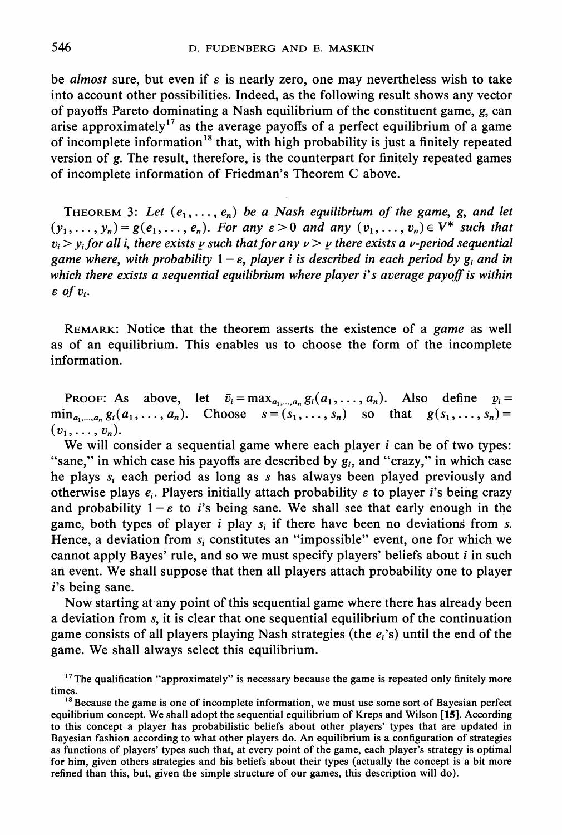be *almost* sure, but even if  $\varepsilon$  is nearly zero, one may nevertheless wish to take into account other possibilities. Indeed, as the following result shows any vector of payoffs Pareto dominating a Nash equilibrium of the constituent game, g, can arise approximately<sup>17</sup> as the average payoffs of a perfect equilibrium of a game of incomplete information<sup>18</sup> that, with high probability is just a finitely repeated version of g. The result, therefore, is the counterpart for finitely repeated games of incomplete information of Friedman's Theorem C above.

THEOREM 3: Let  $(e_1, \ldots, e_n)$  be a Nash equilibrium of the game, g, and let  $(y_1, \ldots, y_n) = g(e_1, \ldots, e_n)$ . For any  $\varepsilon > 0$  and any  $(v_1, \ldots, v_n) \in V^*$  such that  $v_i > v_j$  for all i, there exists  $\nu$  such that for any  $\nu > \nu$  there exists a  $\nu$ -period sequential game where, with probability  $1 - \varepsilon$ , player *i* is described in each period by  $g_i$  and in which there exists a sequential equilibrium where player  $i$ 's average payoff is within  $\varepsilon$  of  $v_i$ .

REMARK: Notice that the theorem asserts the existence of a game as well as of an equilibrium. This enables us to choose the form of the incomplete information.

PROOF: As above, let  $\bar{v}_i = \max_{a_1,\dots,a_n} g_i(a_1,\dots,a_n)$ . Also define  $p_i =$  $\min_{a_1,...,a_n} g_i(a_1,..., a_n)$ . Choose  $s = (s_1,...,s_n)$  so that  $g(s_1,..., s_n) =$  $(v_1,\ldots,v_n).$ 

We will consider a sequential game where each player  $i$  can be of two types: "sane," in which case his payoffs are described by  $g_i$ , and "crazy," in which case he plays  $s_i$  each period as long as s has always been played previously and otherwise plays  $e_i$ . Players initially attach probability  $\varepsilon$  to player *i*'s being crazy and probability  $1 - \varepsilon$  to *i*'s being sane. We shall see that early enough in the game, both types of player *i* play  $s_i$  if there have been no deviations from s. Hence, a deviation from  $s_i$  constitutes an "impossible" event, one for which we cannot apply Bayes' rule, and so we must specify players' beliefs about  $i$  in such an event. We shall suppose that then all players attach probability one to player i's being sane.

Now starting at any point of this sequential game where there has already been a deviation from s, it is clear that one sequential equilibrium of the continuation game consists of all players playing Nash strategies (the  $e_i$ 's) until the end of the game. We shall always select this equilibrium.

 $17$  The qualification "approximately" is necessary because the game is repeated only finitely more times.

<sup>&</sup>lt;sup>18</sup> Because the game is one of incomplete information, we must use some sort of Bayesian perfect equilibrium concept. We shall adopt the sequential equilibrium of Kreps and Wilson **[IS].**According to this concept a player has probabilistic beliefs about other players' types that are updated in Bayesian fashion according to what other players do. An equilibrium is a configuration of strategies as functions of players' types such that, at every point of the game, each player's strategy is optimal for him, given others strategies and his beliefs about their types (actually the concept is a bit more refined than this, but, given the simple structure of our games, this description will do).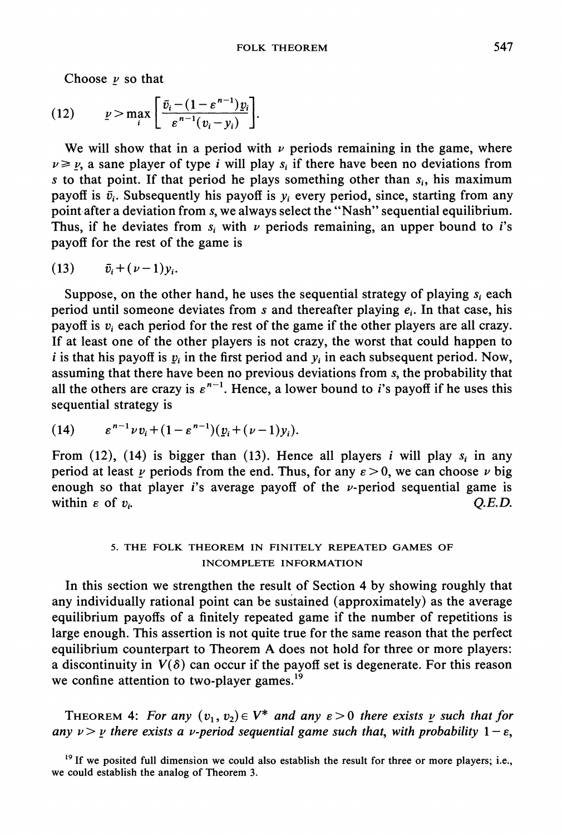Choose  $\nu$  so that

$$
(12) \qquad \nu > \max_{i} \left[ \frac{\bar{v}_i - (1 - \varepsilon^{n-1}) \, v_i}{\varepsilon^{n-1} (v_i - y_i)} \right]
$$

We will show that in a period with  $\nu$  periods remaining in the game, where  $\nu \geq \nu$ , a sane player of type i will play s<sub>i</sub> if there have been no deviations from s to that point. If that period he plays something other than  $s_i$ , his maximum payoff is  $\bar{v}_i$ . Subsequently his payoff is  $v_i$  every period, since, starting from any point after a deviation from s, we always select the "Nash" sequential equilibrium. Thus, if he deviates from  $s_i$  with  $\nu$  periods remaining, an upper bound to *i*'s payoff for the rest of the game is

$$
(13) \qquad \bar{v}_i + (\nu - 1) y_i.
$$

Suppose, on the other hand, he uses the sequential strategy of playing  $s_i$  each period until someone deviates from  $s$  and thereafter playing  $e_i$ . In that case, his payoff is  $v_i$  each period for the rest of the game if the other players are all crazy. If at least one of the other players is not crazy, the worst that could happen to i is that his payoff is  $v_i$  in the first period and  $y_i$  in each subsequent period. Now, assuming that there have been no previous deviations from s, the probability that all the others are crazy is  $\varepsilon^{n-1}$ . Hence, a lower bound to *i*'s payoff if he uses this sequential strategy is

(14) 
$$
\varepsilon^{n-1} \nu v_i + (1 - \varepsilon^{n-1}) (\nu_i + (\nu - 1) y_i).
$$

From (12), (14) is bigger than (13). Hence all players *i* will play  $s_i$  in any period at least  $\nu$  periods from the end. Thus, for any  $\varepsilon > 0$ , we can choose  $\nu$  big enough so that player i's average payoff of the  $\nu$ -period sequential game is within  $\varepsilon$  of  $v_i$ .  $Q.E.D.$ 

## 5. THE FOLK THEOREM IN FINITELY REPEATED GAMES OF INCOMPLETE INFORMATION

In this section we strengthen the result of Section 4 by showing roughly that any individually rational point can be sustained (approximately) as the average equilibrium payoffs of a finitely repeated game if the number of repetitions is large enough. This assertion is not quite true for the same reason that the perfect equilibrium counterpart to Theorem **A** does not hold for three or more players: a discontinuity in  $V(\delta)$  can occur if the payoff set is degenerate. For this reason we confine attention to two-player games.<sup>19</sup>

THEOREM 4: For any  $(v_1, v_2) \in V^*$  and any  $\varepsilon > 0$  there exists y such that for any  $v > v$  there exists a v-period sequential game such that, with probability  $1-\epsilon$ ,

<sup>&</sup>lt;sup>19</sup> If we posited full dimension we could also establish the result for three or more players; i.e., we could establish the analog of Theorem **3.**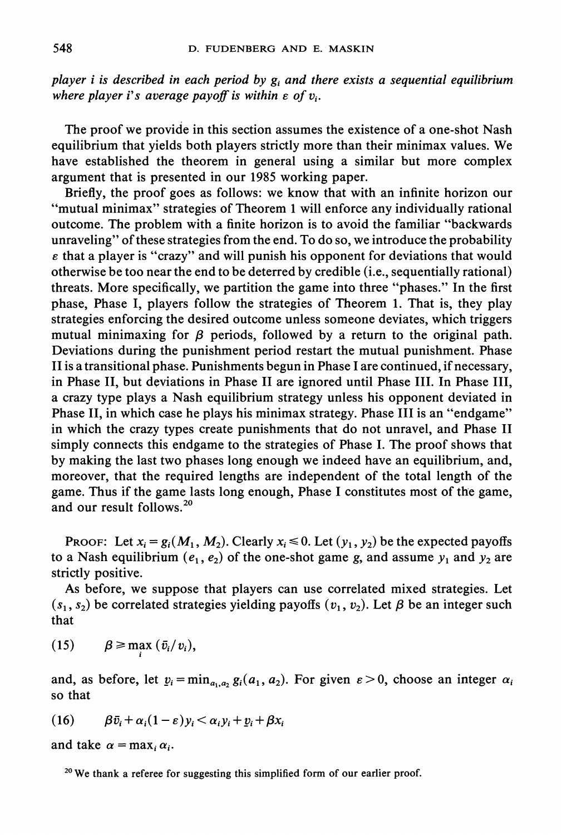player i is described in each period by  $g_i$  and there exists a sequential equilibrium where player i's average payoff is within  $\varepsilon$  of  $v_i$ .

The proof we provide in this section assumes the existence of a one-shot Nash equilibrium that yields both players strictly more than their minimax values. We have established the theorem in general using a similar but more complex argument that is presented in our 1985 working paper.

Briefly, the proof goes as follows: we know that with an infinite horizon our "mutual minimax" strategies of Theorem 1 will enforce any individually rational outcome. The problem with a finite horizon is to avoid the familiar "backwards unraveling" of these strategies from the end. To do so, we introduce the probability  $\epsilon$  that a player is "crazy" and will punish his opponent for deviations that would otherwise be too near the end to be deterred by credible (i.e., sequentially rational) threats. More specifically, we partition the game into three "phases." In the first phase, Phase I, players follow the strategies of Theorem 1. That is, they play strategies enforcing the desired outcome unless someone deviates, which triggers mutual minimaxing for  $\beta$  periods, followed by a return to the original path. Deviations during the punishment period restart the mutual punishment. Phase I1 is a transitional phase. Punishments begun in Phase I are continued, if necessary, in Phase 11, but deviations in Phase I1 are ignored until Phase 111. In Phase 111, a crazy type plays a Nash equilibrium strategy unless his opponent deviated in Phase II, in which case he plays his minimax strategy. Phase III is an "endgame" in which the crazy types create punishments that do not unravel, and Phase I1 simply connects this endgame to the strategies of Phase I. The proof shows that by making the last two phases long enough we indeed have an equilibrium, and, moreover, that the required lengths are independent of the total length of the game. Thus if the game lasts long enough, Phase I constitutes most of the game, and our result follows.<sup>20</sup>

PROOF: Let  $x_i = g_i(M_1, M_2)$ . Clearly  $x_i \le 0$ . Let  $(y_1, y_2)$  be the expected payoffs to a Nash equilibrium ( $e_1, e_2$ ) of the one-shot game g, and assume  $y_1$  and  $y_2$  are strictly positive.

As before, we suppose that players can use correlated mixed strategies. Let  $(s_1, s_2)$  be correlated strategies yielding payoffs  $(v_1, v_2)$ . Let  $\beta$  be an integer such that

(15) 
$$
\beta \geq \max_i (\bar{v}_i/v_i),
$$

and, as before, let  $v_i = \min_{a_i, a_j} g_i(a_1, a_2)$ . For given  $\varepsilon > 0$ , choose an integer  $\alpha_i$ so that

 $\beta \bar{v}_i + \alpha_i (1 - \varepsilon) y_i < \alpha_i y_i + \nu_i + \beta x_i$  $(16)$ 

and take  $\alpha = \max_i \alpha_i$ .

*20* **We thank a referee for suggesting this simplified form of our earlier proof.**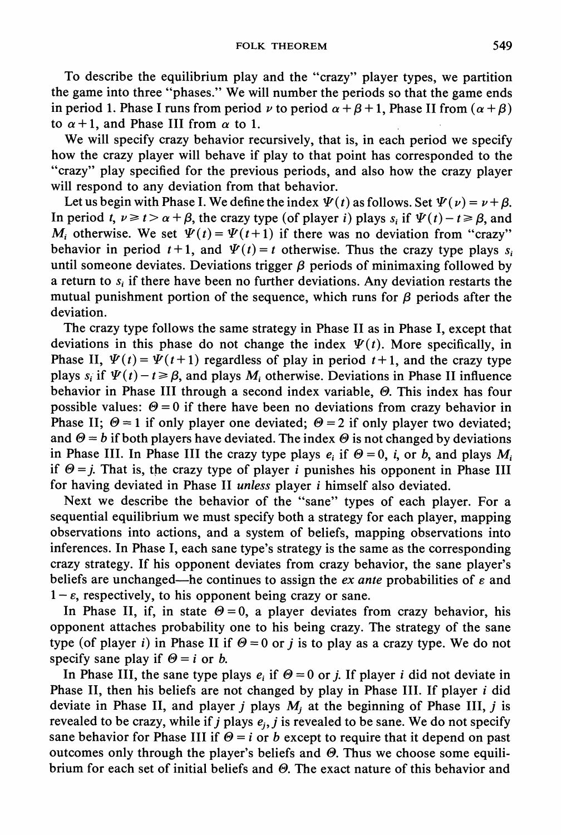To describe the equilibrium play and the "crazy" player types, we partition the game into three "phases." We will number the periods so that the game ends in period 1. Phase I runs from period  $\nu$  to period  $\alpha + \beta + 1$ , Phase II from  $(\alpha + \beta)$ to  $\alpha + 1$ , and Phase III from  $\alpha$  to 1.

We will specify crazy behavior recursively, that is, in each period we specify how the crazy player will behave if play to that point has corresponded to the "crazy" play specified for the previous periods, and also how the crazy player will respond to any deviation from that behavior.

Let us begin with Phase I. We define the index  $\Psi(t)$  as follows. Set  $\Psi(\nu) = \nu + \beta$ . In period *t*,  $\nu \ge t > \alpha + \beta$ , the crazy type (of player *i*) plays *s*, if  $\Psi(t) - t \ge \beta$ , and *M<sub>i</sub>* otherwise. We set  $\Psi(t) = \Psi(t+1)$  if there was no deviation from "crazy" behavior in period  $t+1$ , and  $\Psi(t) = t$  otherwise. Thus the crazy type plays  $s_i$ until someone deviates. Deviations trigger  $\beta$  periods of minimaxing followed by a return to  $s_i$  if there have been no further deviations. Any deviation restarts the mutual punishment portion of the sequence, which runs for  $\beta$  periods after the deviation.

The crazy type follows the same strategy in Phase II as in Phase I, except that deviations in this phase do not change the index  $\Psi(t)$ . More specifically, in Phase II,  $\Psi(t) = \Psi(t+1)$  regardless of play in period  $t+1$ , and the crazy type plays  $s_i$  if  $\Psi(t) - t \ge \beta$ , and plays *M<sub>i</sub>* otherwise. Deviations in Phase II influence behavior in Phase I11 through a second index variable, **0.**This index has four possible values:  $\Theta = 0$  if there have been no deviations from crazy behavior in Phase II;  $\Theta = 1$  if only player one deviated;  $\Theta = 2$  if only player two deviated; and  $\Theta = b$  if both players have deviated. The index  $\Theta$  is not changed by deviations in Phase III. In Phase III the crazy type plays  $e_i$  if  $\Theta = 0$ , *i*, or *b*, and plays  $M_i$ if  $\Theta = j$ . That is, the crazy type of player *i* punishes his opponent in Phase III for having deviated in Phase I1 *unless* player i himself also deviated.

Next we describe the behavior of the "sane" types of each player. For a sequential equilibrium we must specify both a strategy for each player, mapping observations into actions, and a system of beliefs, mapping observations into inferences. In Phase I, each sane type's strategy is the same as the corresponding crazy strategy. If his opponent deviates from crazy behavior, the sane player's beliefs are unchanged-he continues to assign the *ex ante* probabilities of *e* and  $1 - \varepsilon$ , respectively, to his opponent being crazy or sane.

In Phase II, if, in state  $\Theta = 0$ , a player deviates from crazy behavior, his opponent attaches probability one to his being crazy. The strategy of the sane type (of player *i*) in Phase II if  $\Theta = 0$  or *j* is to play as a crazy type. We do not specify sane play if  $\Theta = i$  or b.

In Phase III, the sane type plays  $e_i$  if  $\Theta = 0$  or j. If player i did not deviate in Phase 11, then his beliefs are not changed by play in Phase 111. If player **i** did deviate in Phase II, and player  $j$  plays  $M_i$  at the beginning of Phase III,  $j$  is revealed to be crazy, while if  $j$  plays  $e_j$ ,  $j$  is revealed to be sane. We do not specify sane behavior for Phase III if  $\Theta = i$  or b except to require that it depend on past outcomes only through the player's beliefs and **0.**Thus we choose some equilibrium for each set of initial beliefs and  $\Theta$ . The exact nature of this behavior and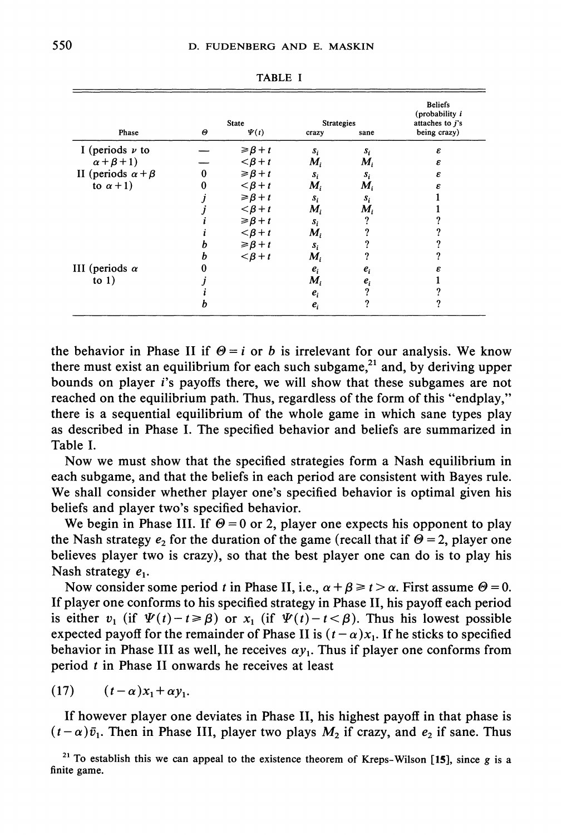|                              | <b>State</b> |                  | <b>Strategies</b> |       | <b>Beliefs</b><br>(probability i<br>attaches to j's |
|------------------------------|--------------|------------------|-------------------|-------|-----------------------------------------------------|
| Phase                        | Θ            | $\Psi(t)$        | crazy             | sane  | being crazy)                                        |
| I (periods $\nu$ to          |              | $\geq \beta + t$ | $s_i$             | $s_i$ | ε                                                   |
| $\alpha + \beta + 1$         |              | $<\beta+t$       | М,                | М,    | ε                                                   |
| II (periods $\alpha + \beta$ |              | $\geq \beta + t$ | $s_i$             | $s_i$ | ε                                                   |
| to $\alpha + 1$ )            |              | $\leq \beta + t$ | М,                | М,    | ε                                                   |
|                              |              | $\geq \beta + t$ | $s_i$             | $s_i$ |                                                     |
|                              |              | $\leq \beta + t$ | М,                | М,    |                                                     |
|                              |              | $\geq \beta + t$ | $s_i$             |       |                                                     |
|                              |              | $\leq \beta + t$ | М,                |       |                                                     |
|                              |              | $\geq \beta + t$ | $s_i$             |       |                                                     |
|                              |              | $\leq \beta + t$ | $M_i$             |       |                                                     |
| III (periods $\alpha$        |              |                  | $e_i$             | $e_i$ |                                                     |
| to $1)$                      |              |                  | М,                | e,    |                                                     |
|                              |              |                  | e,                |       |                                                     |
|                              |              |                  | $e_i$             |       |                                                     |

**TABLE I** 

the behavior in Phase II if  $\Theta = i$  or b is irrelevant for our analysis. We know there must exist an equilibrium for each such subgame.<sup>21</sup> and, by deriving upper bounds on player i's payoffs there, we will show that these subgames are not reached on the equilibrium path. Thus, regardless of the form of this "endplay," there is a sequential equilibrium of the whole game in which sane types play as described in Phase I. The specified behavior and beliefs are summarized in Table I.

Now we must show that the specified strategies form a Nash equilibrium in each subgame, and that the beliefs in each period are consistent with Bayes rule. We shall consider whether player one's specified behavior is optimal given his beliefs and player two's specified behavior.

We begin in Phase III. If  $\Theta = 0$  or 2, player one expects his opponent to play the Nash strategy  $e_2$  for the duration of the game (recall that if  $\Theta = 2$ , player one believes player two is crazy), so that the best player one can do is to play his Nash strategy  $e_1$ .

Now consider some period t in Phase II, i.e.,  $\alpha + \beta \ge t > \alpha$ . First assume  $\Theta = 0$ . If player one conforms to his specified strategy in Phase 11, his payoff each period is either  $v_1$  (if  $\Psi(t) - t \ge \beta$ ) or  $x_1$  (if  $\Psi(t) - t < \beta$ ). Thus his lowest possible expected payoff for the remainder of Phase II is  $(t - \alpha)x_1$ . If he sticks to specified behavior in Phase III as well, he receives  $\alpha y_1$ . Thus if player one conforms from period t in Phase I1 onwards he receives at least

$$
(17) \qquad (t-\alpha)x_1+\alpha y_1.
$$

If however player one deviates in Phase 11, his highest payoff in that phase is  $(t - \alpha)\bar{v}_1$ . Then in Phase III, player two plays  $M_2$  if crazy, and  $e_2$  if sane. Thus

<sup>&</sup>lt;sup>21</sup> To establish this we can appeal to the existence theorem of Kreps-Wilson [15], since g is a **finite game.**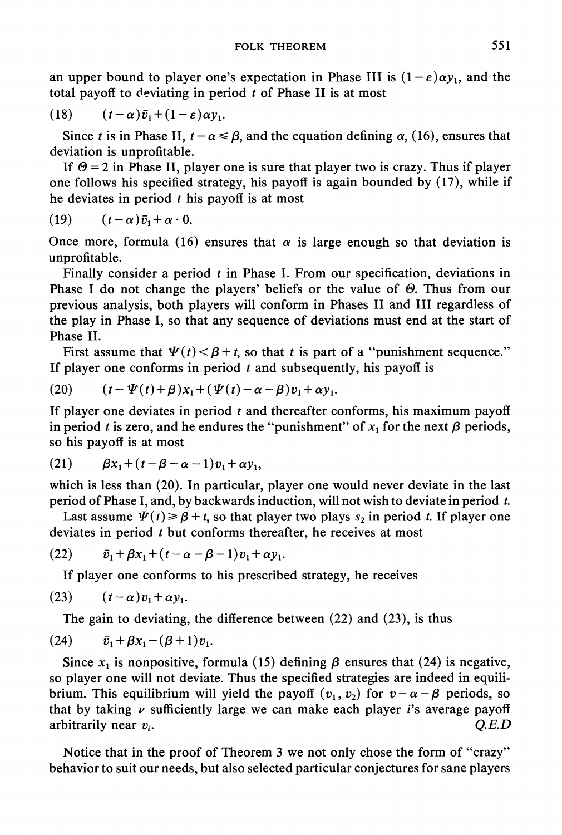an upper bound to player one's expectation in Phase III is  $(1 - \varepsilon) \alpha y_1$ , and the total payoff to deviating in period *t* of Phase I1 is at most

(18) 
$$
(t-\alpha)\bar{v}_1+(1-\varepsilon)\alpha y_1.
$$

Since *t* is in Phase II,  $t - \alpha \leq \beta$ , and the equation defining  $\alpha$ , (16), ensures that deviation is unprofitable.

If  $\Theta = 2$  in Phase II, player one is sure that player two is crazy. Thus if player one follows his specified strategy, his payoff is again bounded by *(17),*while if he deviates in period *t* his payoff is at most

$$
(19) \qquad (t-\alpha)\bar{v}_1+\alpha\cdot 0.
$$

Once more, formula (16) ensures that  $\alpha$  is large enough so that deviation is unprofitable.

Finally consider a period *t* in Phase I. From our specification, deviations in Phase I do not change the players' beliefs or the value of *O.* Thus from our previous analysis, both players will conform in Phases I1 and I11 regardless of the play in Phase I, so that any sequence of deviations must end at the start of Phase II.

First assume that  $\Psi(t) < \beta + t$ , so that *t* is part of a "punishment sequence." If player one conforms in period *t* and subsequently, his payoff is

(20) 
$$
(t - \Psi(t) + \beta)x_1 + (\Psi(t) - \alpha - \beta)v_1 + \alpha y_1.
$$

If player one deviates in period *t* and thereafter conforms, his maximum payoff in period *t* is zero, and he endures the "punishment" of  $x_1$  for the next  $\beta$  periods, so his payoff is at most

(21) 
$$
\beta x_1 + (t - \beta - \alpha - 1)v_1 + \alpha y_1,
$$

which is less than *(20).*In particular, player one would never deviate in the last period of Phase I, and, by backwards induction, will not wish to deviate in period *t.* 

Last assume  $\Psi(t) \geq \beta + t$ , so that player two plays  $s_2$  in period *t*. If player one deviates in period *t* but conforms thereafter, he receives at most

(22) 
$$
\bar{v}_1 + \beta x_1 + (t - \alpha - \beta - 1)v_1 + \alpha y_1.
$$

If player one conforms to his prescribed strategy, he receives

(23) 
$$
(t-\alpha)v_1+\alpha y_1.
$$

The gain to deviating, the difference between *(22)* and *(23),*is thus

(24) 
$$
\bar{v}_1 + \beta x_1 - (\beta + 1)v_1
$$
.

Since  $x_1$  is nonpositive, formula (15) defining  $\beta$  ensures that (24) is negative, so player one will not deviate. Thus the specified strategies are indeed in equilibrium. This equilibrium will yield the payoff  $(v_1, v_2)$  for  $v - \alpha - \beta$  periods, so that by taking  $\nu$  sufficiently large we can make each player *i*'s average payoff arbitrarily near *v<sub>i</sub>*.  $Q.E.D$ 

Notice that in the proof of Theorem *3* we not only chose the form of "crazy" behavior to suit our needs, but also selected particular conjectures for sane players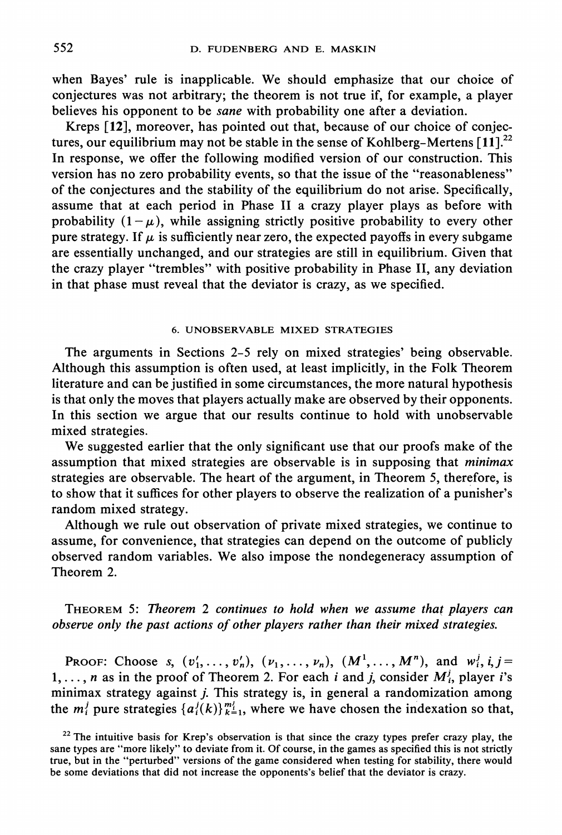when Bayes' rule is inapplicable. We should emphasize that our choice of conjectures was not arbitrary; the theorem is not true if, for example, a player believes his opponent to be sane with probability one after a deviation.

Kreps [12], moreover, has pointed out that, because of our choice of conjectures, our equilibrium may not be stable in the sense of Kohlberg-Mertens  $[11]$ <sup>22</sup> In response, we offer the following modified version of our construction. This version has no zero probability events, so that the issue of the "reasonableness" of the conjectures and the stability of the equilibrium do not arise. Specifically, assume that at each period in Phase I1 a crazy player plays as before with probability  $(1-\mu)$ , while assigning strictly positive probability to every other pure strategy. If  $\mu$  is sufficiently near zero, the expected payoffs in every subgame are essentially unchanged, and our strategies are still in equilibrium. Given that the crazy player "trembles" with positive probability in Phase 11, any deviation in that phase must reveal that the deviator is crazy, as we specified.

#### *6.* UNOBSERVABLE MIXED STRATEGIES

The arguments in Sections *2-5* rely on mixed strategies' being observable. Although this assumption is often used, at least implicitly, in the Folk Theorem literature and can be justified in some circumstances, the more natural hypothesis is that only the moves that players actually make are observed by their opponents. In this section we argue that our results continue to hold with unobservable mixed strategies.

We suggested earlier that the only significant use that our proofs make of the assumption that mixed strategies are observable is in supposing that minimax strategies are observable. The heart of the argument, in Theorem *5,* therefore, is to show that it suffices for other players to observe the realization of a punisher's random mixed strategy.

Although we rule out observation of private mixed strategies, we continue to assume, for convenience, that strategies can depend on the outcome of publicly observed random variables. We also impose the nondegeneracy assumption of Theorem *2.* 

## THEOREM*5:* Theorem *2* continues to hold when we assume that players can observe only the past actions of other players rather than their mixed strategies.

**PROOF:** Choose s,  $(v'_1, ..., v'_n)$ ,  $(v_1, ..., v_n)$ ,  $(M^1, ..., M^n)$ , and  $w_i^j$ ,  $i, j =$ 1,..., *n* as in the proof of Theorem 2. For each *i* and *j*, consider  $M_i^j$ , player *i*'s minimax strategy against *j.* This strategy is, in general a randomization among the  $m_i^j$  pure strategies  $\{a_i^j(k)\}_{k=1}^{m_i^j}$ , where we have chosen the indexation so that,

**<sup>22</sup>**The intuitive basis for Krep's observation is that since the crazy types prefer crazy play, the sane types are "more likely" to deviate from it. Of course, in the games as specified this is not strictly true, but in the "perturbed" versions of the game considered when testing for stability, there would be some deviations that did not increase the opponents's belief that the deviator is crazy.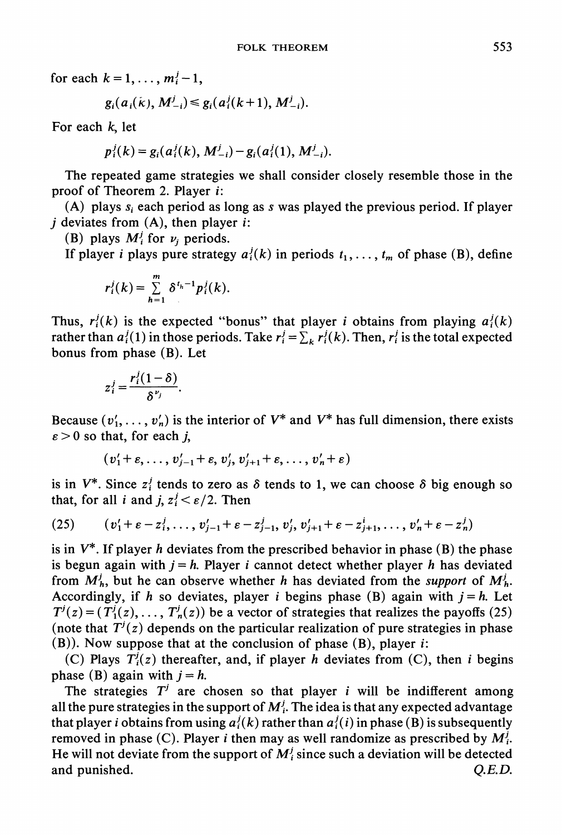for each  $k=1, \ldots, m<sub>i</sub><sup>j</sup>-1$ ,

$$
g_i(a_i(k), M^j_{-i}) \leq g_i(a_i^j(k+1), M^j_{-i}).
$$

For each k, let

$$
p_i^j(k) = g_i(a_i^j(k), M_{-i}^j) - g_i(a_i^j(1), M_{-i}^j).
$$

The repeated game strategies we shall consider closely resemble those in the proof of Theorem 2. Player i:

(A) plays **si**each period as long as **s** was played the previous period. If player  $i$  deviates from  $(A)$ , then player  $i$ :

(B) plays  $M_i^j$  for  $\nu_i$  periods.

If player *i* plays pure strategy  $a_i^j(k)$  in periods  $t_1, \ldots, t_m$  of phase (B), define

$$
r_i^j(k)=\sum_{h=1}^m\delta^{t_h-1}p_i^j(k).
$$

Thus,  $r_i^j(k)$  is the expected "bonus" that player *i* obtains from playing  $a_i^j(k)$ rather than  $a_i^j(1)$  in those periods. Take  $r_i^j = \sum_k r_i^j(k)$ . Then,  $r_i^j$  is the total expected bonus from phase (B). Let

$$
z_i^j = \frac{r_i^j(1-\delta)}{\delta^{\nu_j}}.
$$

Because  $(v'_1, \ldots, v'_n)$  is the interior of  $V^*$  and  $V^*$  has full dimension, there exists  $\varepsilon > 0$  so that, for each *j*,

$$
(v'_1+\varepsilon,\ldots,v'_{j-1}+\varepsilon,v'_j,v'_{j+1}+\varepsilon,\ldots,v'_n+\varepsilon)
$$

is in  $V^*$ . Since  $z_i^j$  tends to zero as  $\delta$  tends to 1, we can choose  $\delta$  big enough so that, for all i and j,  $z_i^j < \varepsilon/2$ . Then

(25) 
$$
(v'_1 + \varepsilon - z'_i, \ldots, v'_{j-1} + \varepsilon - z'_{j-1}, v'_j, v'_{j+1} + \varepsilon - z'_{j+1}, \ldots, v'_n + \varepsilon - z'_n)
$$

is in *V\*.*If player *h* deviates from the prescribed behavior in phase (B) the phase is begun again with  $j = h$ . Player i cannot detect whether player h has deviated from  $M_h^j$ , but he can observe whether h has deviated from the *support* of  $M_h^j$ . Accordingly, if *h* so deviates, player *i* begins phase (B) again with  $j = h$ . Let  $T^{j}(z)=(T_{1}^{j}(z),..., T_{n}^{j}(z))$  be a vector of strategies that realizes the payoffs (25) (note that  $T<sup>j</sup>(z)$  depends on the particular realization of pure strategies in phase  $(B)$ ). Now suppose that at the conclusion of phase  $(B)$ , player *i*:

(C) Plays  $T_i^j(z)$  thereafter, and, if player *h* deviates from (C), then *i* begins phase (B) again with  $j = h$ .

The strategies  $T<sup>j</sup>$  are chosen so that player i will be indifferent among all the pure strategies in the support of  $M<sub>i</sub><sup>j</sup>$ . The idea is that any expected advantage that player *i* obtains from using  $a^{j}(k)$  rather than  $a^{j}(i)$  in phase (B) is subsequently removed in phase (C). Player *i* then may as well randomize as prescribed by  $M_i^j$ . He will not deviate from the support of  $M_i^j$  since such a deviation will be detected and punished.  $Q.E.D.$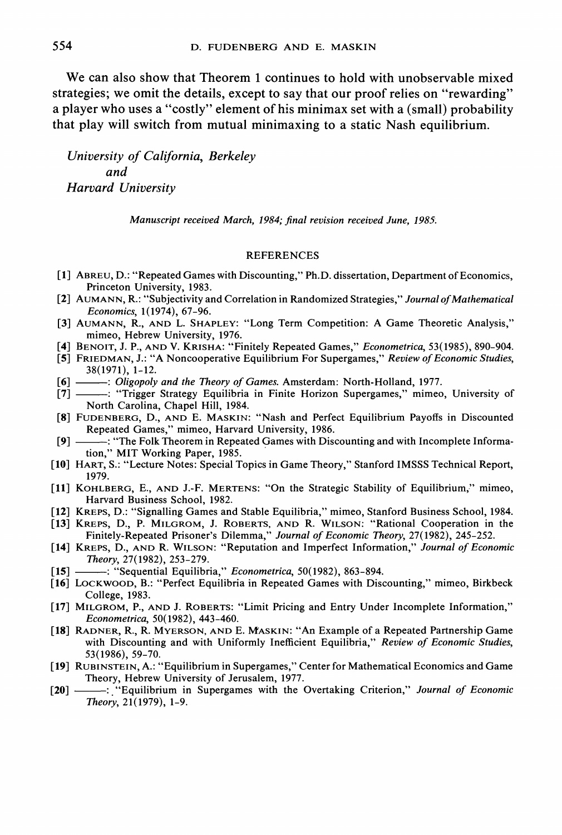We can also show that Theorem 1 continues to hold with unobservable mixed strategies; we omit the details, except to say that our proof relies on "rewarding" a player who uses a "costly" element of his minimax set with a (small) probability that play will switch from mutual minimaxing to a static Nash equilibrium.

*University of California, Berkeley and Harvard University* 

*Manuscript received March, 1984; final revision received June, 1985.* 

#### REFERENCES

- ABREU, D.: "Repeated Games with Discounting," Ph.D. dissertation, Department of Economics, Princeton University, 1983.
- AUMANN, R.: "Subjectivity and Correlation in Randomized Strategies," *Journal ofMathematica1 Economics,* 1(1974), 67-96. [2] AUMANN, R.: "Subjectivity and Correlation in Randomized Strategies," Journal of Economics, 1(1974), 67-96.<br>
[3] AUMANN, R., AND L. SHAPLEY: "Long Term Competition: A Game Theor<br>
mimeo, Hebrew University, 1976.<br>
[4] BEN
- [3] AUMANN, R., AND L. SHAPLEY: "Long Term Competition: A Game Theoretic Analysis," mimeo, Hebrew University, 1976. Economics, 1(1974), 67-96.<br>
[3] AUMANN, R., AND L. SHAPLEY: "Long Term Competition: A Game Theoretic Analysis,"<br>
mimeo, Hebrew University, 1976.<br>
[4] BENOIT, J. P., AND V. KRISHA: "Finitely Repeated Games," *Econometrica*,
- **[4]** BENOIT, J. P., AND V. KRISHA: "Finitely Repeated Games," *Econometrica,* 53(1985), 890-904.
- [5] FRIEDMAN, J.: "A Noncooperative Equilibrium For Supergames," *Review of Economic Studies*, 38(1971), 1-12.<br>- Cligopoly and the Theory of Games. Amsterdam: North-Holland, 1977.
- 
- North Carolina, Chapel Hill, 1984.
- **[8]** FUDENBERG, D., AND E. MASKIN: "Nash and Perfect Equilibrium Payoffs in Discounted Repeated Games," mimeo, Harvard University, 1986.<br>——: "The Folk Theorem in Repeated Games with Discounting and with Incomplete Informa-[5] FRIEDMAN, J.: "A Noncooperative Equilibrium For Supergames," Review of Economic Studies,<br>
38(1971), 1-12.<br>
[6] \_\_\_\_\_: Oligopoly and the Theory of Games. Amsterdam: North-Holland, 1977.<br>
[7] \_\_\_\_\_: "Trigger Strategy Equ
- tion," MIT Working Paper, 1985.
- **[lo]** HART, S.: "Lecture Notes: Special Topics in Game Theory," Stanford IMSSS Technical Report, 1979.
- **[ll]** KOHLBERG, E., AND J.-F. MERTENS: "On the Strategic Stability of Equilibrium," mimeo, Harvard Business School, 1982.
- **[12]** KREPS, D.: "Signalling Games and Stable Equilibria," mimeo, Stanford Business School, 1984.
- **[13]** KREPS, D., P. MILGROM, J. ROBERTS,AND R. WILSON: "Rational Cooperation in the Finitely-Repeated Prisoner's Dilemma," *Journal of Economic Theory,* 27(1982), 245-252.
- **[14]** KREPS, D., AND R. WILSON: "Reputation and Imperfect Information," *Journal of Economic Theory, 27(1982), 253-279.*<br>[15] — : "Sequential Equilibria," *Econometrica, 50(1982), 863-894.* [11] KOHLBERG, E., AND J.-F. MERTENS: "On the Strategic Stabilited Harvard Business School, 1982.<br>
[12] KREPS, D.: "Signalling Games and Stable Equilibria," mimeo, Star<br>
[13] KREPS, D., P. MILGROM, J. ROBERTS, AND R. WILSO
- 
- **[16]** LOCKWOOD, B.: "Perfect Equilibria in Repeated Games with Discounting," mimeo, Birkbeck College, 1983.
- **[17]** MILGROM, P., AND J. ROBERTS: "Limit Pricing and Entry Under Incomplete Information," *Econometrica,* 50(1982), 443-460.
- **[18]** RADNER, R., R. MYERSON, AND E. MASKIN: **"An** Example of a Repeated Partnership Game with Discounting and with Uniformly Inefficient Equilibria," *Review of Economic Studies,*  53(1986), 59-70. **Politically 10 Point 117 Point 117 Point 11 Point 12 Point 12 Point 11 Point 11 Point 11 Point 11 Point 11 Point 11 Point 11 Point 11 Point 11 Point 11 Conomic 118 RADNER, R., R. MYERSON,**
- **[19]** RUBINSTEIN, A,: "Equilibrium in Supergames," Center for Mathematical Economics and Game Theory, Hebrew University of Jerusalem, 1977.<br>
- : "Equilibrium in Supergames with the Overtaking Criterion," Journal of Economic
- *Theory,* 21(1979), 1-9.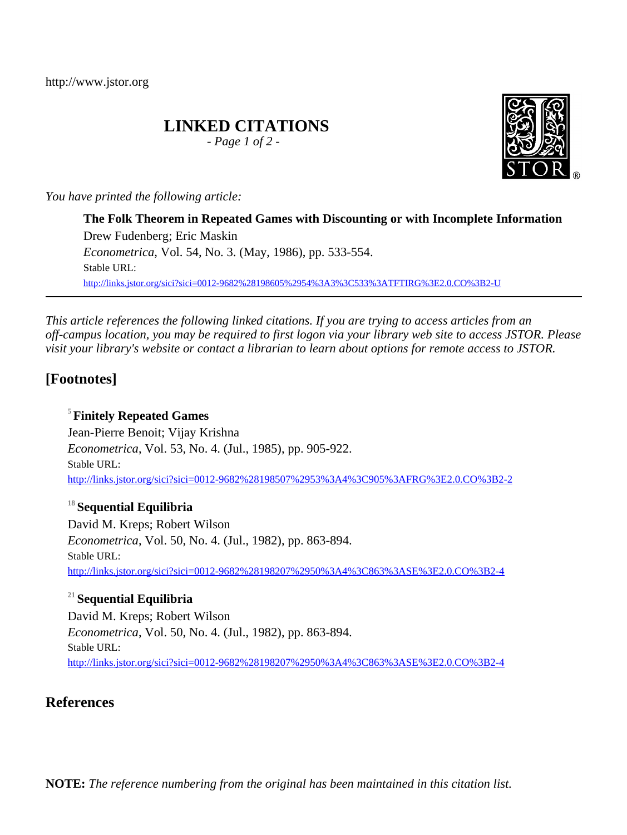http://www.jstor.org

# **LINKED CITATIONS**

*- Page 1 of 2 -*



*You have printed the following article:*

**The Folk Theorem in Repeated Games with Discounting or with Incomplete Information** Drew Fudenberg; Eric Maskin *Econometrica*, Vol. 54, No. 3. (May, 1986), pp. 533-554. Stable URL: [http://links.jstor.org/sici?sici=0012-9682%28198605%2954%3A3%3C533%3ATFTIRG%3E2.0.CO%3B2-U](http://links.jstor.org/sici?sici=0012-9682%28198605%2954%3A3%3C533%3ATFTIRG%3E2.0.CO%3B2-U&origin=JSTOR-pdf)

*This article references the following linked citations. If you are trying to access articles from an off-campus location, you may be required to first logon via your library web site to access JSTOR. Please visit your library's website or contact a librarian to learn about options for remote access to JSTOR.*

# **[Footnotes]**

# **<sup>5</sup>Finitely Repeated Games**

Jean-Pierre Benoit; Vijay Krishna *Econometrica*, Vol. 53, No. 4. (Jul., 1985), pp. 905-922. Stable URL: [http://links.jstor.org/sici?sici=0012-9682%28198507%2953%3A4%3C905%3AFRG%3E2.0.CO%3B2-2](http://links.jstor.org/sici?sici=0012-9682%28198507%2953%3A4%3C905%3AFRG%3E2.0.CO%3B2-2&origin=JSTOR-pdf)

**<sup>18</sup> Sequential Equilibria** David M. Kreps; Robert Wilson *Econometrica*, Vol. 50, No. 4. (Jul., 1982), pp. 863-894. Stable URL: [http://links.jstor.org/sici?sici=0012-9682%28198207%2950%3A4%3C863%3ASE%3E2.0.CO%3B2-4](http://links.jstor.org/sici?sici=0012-9682%28198207%2950%3A4%3C863%3ASE%3E2.0.CO%3B2-4&origin=JSTOR-pdf)

**<sup>21</sup> Sequential Equilibria** David M. Kreps; Robert Wilson *Econometrica*, Vol. 50, No. 4. (Jul., 1982), pp. 863-894. Stable URL: [http://links.jstor.org/sici?sici=0012-9682%28198207%2950%3A4%3C863%3ASE%3E2.0.CO%3B2-4](http://links.jstor.org/sici?sici=0012-9682%28198207%2950%3A4%3C863%3ASE%3E2.0.CO%3B2-4&origin=JSTOR-pdf)

# **References**